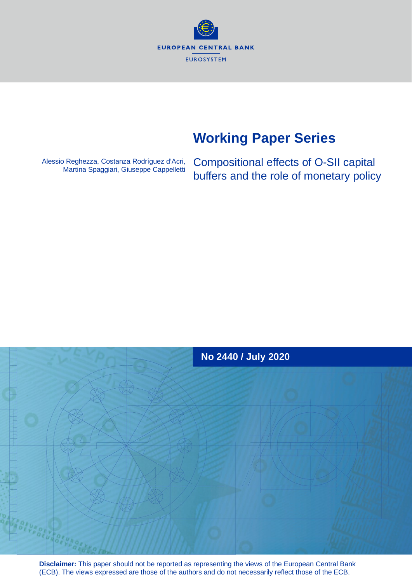**EUROPEAN CENTRAL BANK EUROSYSTEM** 

# **Working Paper Series**

Alessio Reghezza, Costanza Rodríguez d'Acri, Martina Spaggiari, Giuseppe Cappelletti Compositional effects of O-SII capital buffers and the role of monetary policy



**Disclaimer:** This paper should not be reported as representing the views of the European Central Bank (ECB). The views expressed are those of the authors and do not necessarily reflect those of the ECB.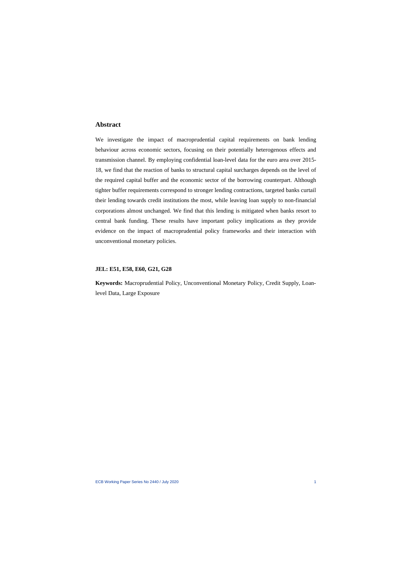## **Abstract**

We investigate the impact of macroprudential capital requirements on bank lending behaviour across economic sectors, focusing on their potentially heterogenous effects and transmission channel. By employing confidential loan-level data for the euro area over 2015- 18, we find that the reaction of banks to structural capital surcharges depends on the level of the required capital buffer and the economic sector of the borrowing counterpart. Although tighter buffer requirements correspond to stronger lending contractions, targeted banks curtail their lending towards credit institutions the most, while leaving loan supply to non-financial corporations almost unchanged. We find that this lending is mitigated when banks resort to central bank funding. These results have important policy implications as they provide evidence on the impact of macroprudential policy frameworks and their interaction with unconventional monetary policies.

#### **JEL: E51, E58, E60, G21, G28**

**Keywords:** Macroprudential Policy, Unconventional Monetary Policy, Credit Supply, Loanlevel Data, Large Exposure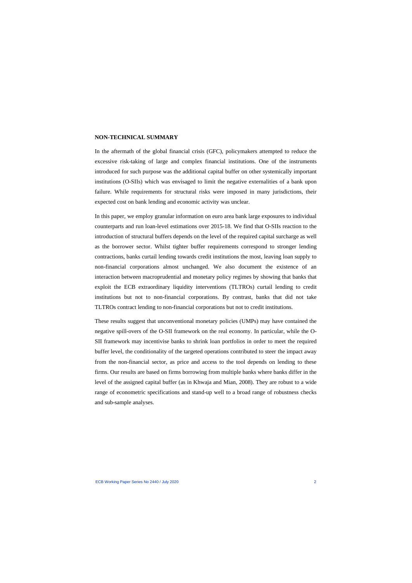#### **NON-TECHNICAL SUMMARY**

In the aftermath of the global financial crisis (GFC), policymakers attempted to reduce the excessive risk-taking of large and complex financial institutions. One of the instruments introduced for such purpose was the additional capital buffer on other systemically important institutions (O-SIIs) which was envisaged to limit the negative externalities of a bank upon failure. While requirements for structural risks were imposed in many jurisdictions, their expected cost on bank lending and economic activity was unclear.

In this paper, we employ granular information on euro area bank large exposures to individual counterparts and run loan-level estimations over 2015-18. We find that O-SIIs reaction to the introduction of structural buffers depends on the level of the required capital surcharge as well as the borrower sector. Whilst tighter buffer requirements correspond to stronger lending contractions, banks curtail lending towards credit institutions the most, leaving loan supply to non-financial corporations almost unchanged. We also document the existence of an interaction between macroprudential and monetary policy regimes by showing that banks that exploit the ECB extraordinary liquidity interventions (TLTROs) curtail lending to credit institutions but not to non-financial corporations. By contrast, banks that did not take TLTROs contract lending to non-financial corporations but not to credit institutions.

These results suggest that unconventional monetary policies (UMPs) may have contained the negative spill-overs of the O-SII framework on the real economy. In particular, while the O-SII framework may incentivise banks to shrink loan portfolios in order to meet the required buffer level, the conditionality of the targeted operations contributed to steer the impact away from the non-financial sector, as price and access to the tool depends on lending to these firms. Our results are based on firms borrowing from multiple banks where banks differ in the level of the assigned capital buffer (as in Khwaja and Mian, 2008). They are robust to a wide range of econometric specifications and stand-up well to a broad range of robustness checks and sub-sample analyses.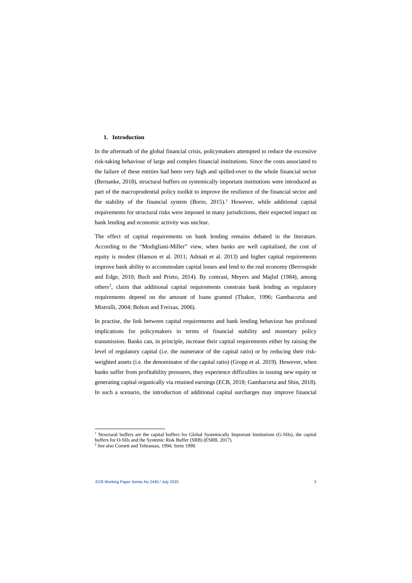#### **1. Introduction**

In the aftermath of the global financial crisis, policymakers attempted to reduce the excessive risk-taking behaviour of large and complex financial institutions. Since the costs associated to the failure of these entities had been very high and spilled-over to the whole financial sector (Bernanke, 2018), structural buffers on systemically important institutions were introduced as part of the macroprudential policy toolkit to improve the resilience of the financial sector and the stability of the financial system (Borio,  $2015$  $2015$  $2015$ ).<sup>1</sup> However, while additional capital requirements for structural risks were imposed in many jurisdictions, their expected impact on bank lending and economic activity was unclear.

The effect of capital requirements on bank lending remains debated in the literature. According to the "Modigliani-Miller" view, when banks are well capitalised, the cost of equity is modest (Hanson et al. 2011; Admati et al. 2013) and higher capital requirements improve bank ability to accommodate capital losses and lend to the real economy (Berrospide and Edge, 2010; Buch and Prieto, 2014). By contrast, Meyers and Majluf (1984), among others<sup>[2](#page-3-1)</sup>, claim that additional capital requirements constrain bank lending as regulatory requirements depend on the amount of loans granted (Thakor, 1996; Gambacorta and Mistrulli, 2004; Bolton and Freixas, 2006).

In practise, the link between capital requirements and bank lending behaviour has profound implications for policymakers in terms of financial stability and monetary policy transmission. Banks can, in principle, increase their capital requirements either by raising the level of regulatory capital (i.e. the numerator of the capital ratio) or by reducing their riskweighted assets (i.e. the denominator of the capital ratio) (Gropp et al. 2019). However, when banks suffer from profitability pressures, they experience difficulties in issuing new equity or generating capital organically via retained earnings (ECB, 2018; Gambacorta and Shin, 2018). In such a scenario, the introduction of additional capital surcharges may improve financial

<sup>&</sup>lt;sup>1</sup> Structural buffers are the capital buffers for Global Systemically Important Institutions (G-SIIs), the capital buffers for O-SIIs and the Systemic Risk Buffer (SRB) (ESRB, 2017).

<span id="page-3-1"></span><span id="page-3-0"></span><sup>2</sup> See also Cornett and Tehranian, 1994; Stein 1998.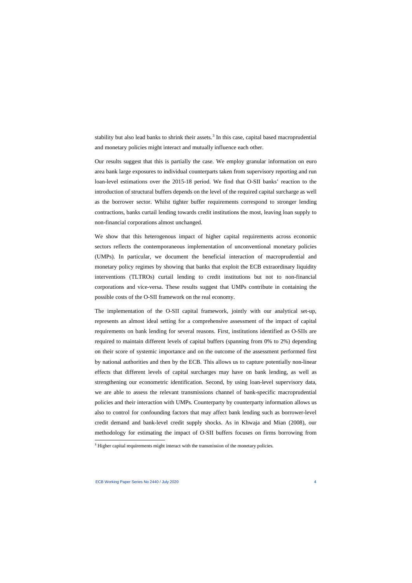stability but also lead banks to shrink their assets.<sup>[3](#page-4-0)</sup> In this case, capital based macroprudential and monetary policies might interact and mutually influence each other.

Our results suggest that this is partially the case. We employ granular information on euro area bank large exposures to individual counterparts taken from supervisory reporting and run loan-level estimations over the 2015-18 period. We find that O-SII banks' reaction to the introduction of structural buffers depends on the level of the required capital surcharge as well as the borrower sector. Whilst tighter buffer requirements correspond to stronger lending contractions, banks curtail lending towards credit institutions the most, leaving loan supply to non-financial corporations almost unchanged.

We show that this heterogenous impact of higher capital requirements across economic sectors reflects the contemporaneous implementation of unconventional monetary policies (UMPs). In particular, we document the beneficial interaction of macroprudential and monetary policy regimes by showing that banks that exploit the ECB extraordinary liquidity interventions (TLTROs) curtail lending to credit institutions but not to non-financial corporations and vice-versa. These results suggest that UMPs contribute in containing the possible costs of the O-SII framework on the real economy.

The implementation of the O-SII capital framework, jointly with our analytical set-up, represents an almost ideal setting for a comprehensive assessment of the impact of capital requirements on bank lending for several reasons. First, institutions identified as O-SIIs are required to maintain different levels of capital buffers (spanning from 0% to 2%) depending on their score of systemic importance and on the outcome of the assessment performed first by national authorities and then by the ECB. This allows us to capture potentially non-linear effects that different levels of capital surcharges may have on bank lending, as well as strengthening our econometric identification. Second, by using loan-level supervisory data, we are able to assess the relevant transmissions channel of bank-specific macroprudential policies and their interaction with UMPs. Counterparty by counterparty information allows us also to control for confounding factors that may affect bank lending such as borrower-level credit demand and bank-level credit supply shocks. As in Khwaja and Mian (2008), our methodology for estimating the impact of O-SII buffers focuses on firms borrowing from

<span id="page-4-0"></span><sup>&</sup>lt;sup>3</sup> Higher capital requirements might interact with the transmission of the monetary policies.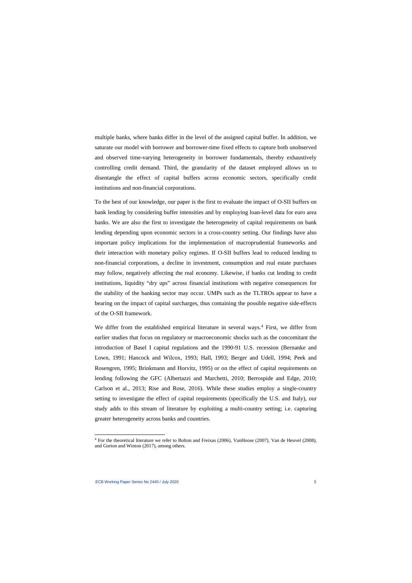multiple banks, where banks differ in the level of the assigned capital buffer. In addition, we saturate our model with borrower and borrower-time fixed effects to capture both unobserved and observed time-varying heterogeneity in borrower fundamentals, thereby exhaustively controlling credit demand. Third, the granularity of the dataset employed allows us to disentangle the effect of capital buffers across economic sectors, specifically credit institutions and non-financial corporations.

To the best of our knowledge, our paper is the first to evaluate the impact of O-SII buffers on bank lending by considering buffer intensities and by employing loan-level data for euro area banks. We are also the first to investigate the heterogeneity of capital requirements on bank lending depending upon economic sectors in a cross-country setting. Our findings have also important policy implications for the implementation of macroprudential frameworks and their interaction with monetary policy regimes. If O-SII buffers lead to reduced lending to non-financial corporations, a decline in investment, consumption and real estate purchases may follow, negatively affecting the real economy. Likewise, if banks cut lending to credit institutions, liquidity "dry ups" across financial institutions with negative consequences for the stability of the banking sector may occur. UMPs such as the TLTROs appear to have a bearing on the impact of capital surcharges, thus containing the possible negative side-effects of the O-SII framework.

We differ from the established empirical literature in several ways.<sup>[4](#page-5-0)</sup> First, we differ from earlier studies that focus on regulatory or macroeconomic shocks such as the concomitant the introduction of Basel I capital regulations and the 1990-91 U.S. recession (Bernanke and Lown, 1991; Hancock and Wilcox, 1993; Hall, 1993; Berger and Udell, 1994; Peek and Rosengren, 1995; Brinkmann and Horvitz, 1995) or on the effect of capital requirements on lending following the GFC (Albertazzi and Marchetti, 2010; Berrospide and Edge, 2010; Carlson et al., 2013; Rise and Rose, 2016). While these studies employ a single-country setting to investigate the effect of capital requirements (specifically the U.S. and Italy), our study adds to this stream of literature by exploiting a multi-country setting; i.e. capturing greater heterogeneity across banks and countries.

<span id="page-5-0"></span><sup>4</sup> For the theoretical literature we refer to Bolton and Freixas (2006), VanHoose (2007), Van de Heuvel (2008), and Gorton and Winton (2017), among others.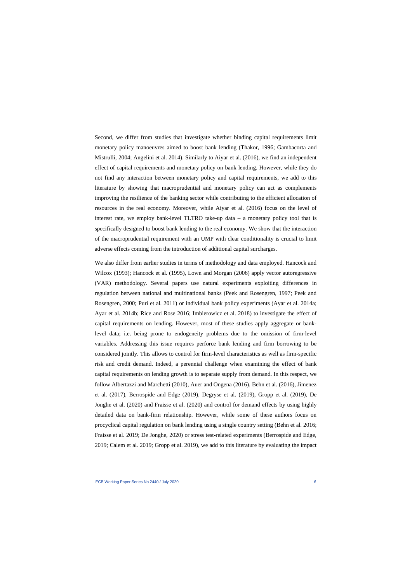Second, we differ from studies that investigate whether binding capital requirements limit monetary policy manoeuvres aimed to boost bank lending (Thakor, 1996; Gambacorta and Mistrulli, 2004; Angelini et al. 2014). Similarly to Aiyar et al. (2016), we find an independent effect of capital requirements and monetary policy on bank lending. However, while they do not find any interaction between monetary policy and capital requirements, we add to this literature by showing that macroprudential and monetary policy can act as complements improving the resilience of the banking sector while contributing to the efficient allocation of resources in the real economy. Moreover, while Aiyar et al. (2016) focus on the level of interest rate, we employ bank-level TLTRO take-up data – a monetary policy tool that is specifically designed to boost bank lending to the real economy. We show that the interaction of the macroprudential requirement with an UMP with clear conditionality is crucial to limit adverse effects coming from the introduction of additional capital surcharges.

We also differ from earlier studies in terms of methodology and data employed. Hancock and Wilcox (1993); Hancock et al. (1995), Lown and Morgan (2006) apply vector autoregressive (VAR) methodology. Several papers use natural experiments exploiting differences in regulation between national and multinational banks (Peek and Rosengren, 1997; Peek and Rosengren, 2000; Puri et al. 2011) or individual bank policy experiments (Ayar et al. 2014a; Ayar et al. 2014b; Rice and Rose 2016; Imbierowicz et al. 2018) to investigate the effect of capital requirements on lending. However, most of these studies apply aggregate or banklevel data; i.e. being prone to endogeneity problems due to the omission of firm-level variables. Addressing this issue requires perforce bank lending and firm borrowing to be considered jointly. This allows to control for firm-level characteristics as well as firm-specific risk and credit demand. Indeed, a perennial challenge when examining the effect of bank capital requirements on lending growth is to separate supply from demand. In this respect, we follow Albertazzi and Marchetti (2010), Auer and Ongena (2016), Behn et al. (2016), Jimenez et al. (2017), Berrospide and Edge (2019), Degryse et al. (2019), Gropp et al. (2019), De Jonghe et al. (2020) and Fraisse et al. (2020) and control for demand effects by using highly detailed data on bank-firm relationship. However, while some of these authors focus on procyclical capital regulation on bank lending using a single country setting (Behn et al. 2016; Fraisse et al. 2019; De Jonghe, 2020) or stress test-related experiments (Berrospide and Edge, 2019; Calem et al. 2019; Gropp et al. 2019), we add to this literature by evaluating the impact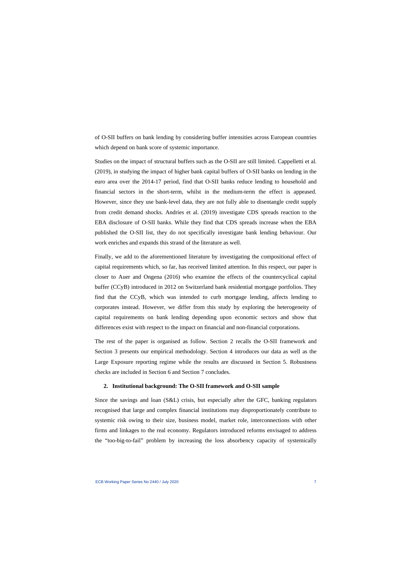of O-SII buffers on bank lending by considering buffer intensities across European countries which depend on bank score of systemic importance.

Studies on the impact of structural buffers such as the O-SII are still limited. Cappelletti et al. (2019), in studying the impact of higher bank capital buffers of O-SII banks on lending in the euro area over the 2014-17 period, find that O-SII banks reduce lending to household and financial sectors in the short-term, whilst in the medium-term the effect is appeased. However, since they use bank-level data, they are not fully able to disentangle credit supply from credit demand shocks. Andries et al. (2019) investigate CDS spreads reaction to the EBA disclosure of O-SII banks. While they find that CDS spreads increase when the EBA published the O-SII list, they do not specifically investigate bank lending behaviour. Our work enriches and expands this strand of the literature as well.

Finally, we add to the aforementioned literature by investigating the compositional effect of capital requirements which, so far, has received limited attention. In this respect, our paper is closer to Auer and Ongena (2016) who examine the effects of the countercyclical capital buffer (CCyB) introduced in 2012 on Switzerland bank residential mortgage portfolios. They find that the CCyB, which was intended to curb mortgage lending, affects lending to corporates instead. However, we differ from this study by exploring the heterogeneity of capital requirements on bank lending depending upon economic sectors and show that differences exist with respect to the impact on financial and non-financial corporations.

The rest of the paper is organised as follow. Section 2 recalls the O-SII framework and Section 3 presents our empirical methodology. Section 4 introduces our data as well as the Large Exposure reporting regime while the results are discussed in Section 5. Robustness checks are included in Section 6 and Section 7 concludes.

#### **2. Institutional background: The O-SII framework and O-SII sample**

Since the savings and loan (S&L) crisis, but especially after the GFC, banking regulators recognised that large and complex financial institutions may disproportionately contribute to systemic risk owing to their size, business model, market role, interconnections with other firms and linkages to the real economy. Regulators introduced reforms envisaged to address the "too-big-to-fail" problem by increasing the loss absorbency capacity of systemically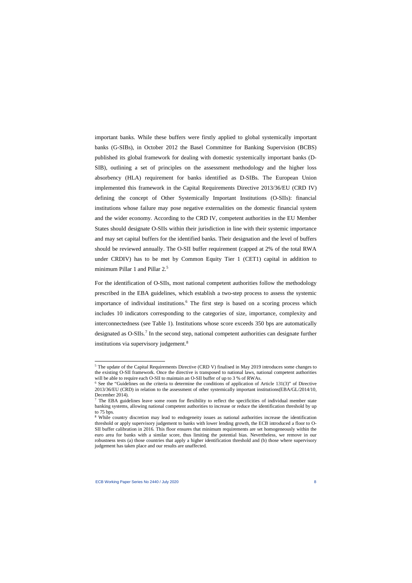important banks. While these buffers were firstly applied to global systemically important banks (G-SIBs), in October 2012 the Basel Committee for Banking Supervision (BCBS) published its global framework for dealing with domestic systemically important banks (D-SIB), outlining a set of principles on the assessment methodology and the higher loss absorbency (HLA) requirement for banks identified as D-SIBs. The European Union implemented this framework in the Capital Requirements Directive 2013/36/EU (CRD IV) defining the concept of Other Systemically Important Institutions (O-SIIs): financial institutions whose failure may pose negative externalities on the domestic financial system and the wider economy. According to the CRD IV, competent authorities in the EU Member States should designate O-SIIs within their jurisdiction in line with their systemic importance and may set capital buffers for the identified banks. Their designation and the level of buffers should be reviewed annually. The O-SII buffer requirement (capped at 2% of the total RWA under CRDIV) has to be met by Common Equity Tier 1 (CET1) capital in addition to minimum Pillar 1 and Pillar 2.<sup>[5](#page-8-0)</sup>

For the identification of O-SIIs, most national competent authorities follow the methodology prescribed in the EBA guidelines, which establish a two-step process to assess the systemic importance of individual institutions.<sup>[6](#page-8-1)</sup> The first step is based on a scoring process which includes 10 indicators corresponding to the categories of size, importance, complexity and interconnectedness (see Table 1). Institutions whose score exceeds 350 bps are automatically designated as O-SIIs. [7](#page-8-2) In the second step, national competent authorities can designate further institutions via supervisory judgement. [8](#page-8-3)

<sup>5</sup> The update of the Capital Requirements Directive (CRD V) finalised in May 2019 introduces some changes to the existing O-SII framework. Once the directive is transposed to national laws, national competent authorities will be able to require each O-SII to maintain an O-SII buffer of up to 3 % of RWAs.

 $6$  See the "Guidelines on the criteria to determine the conditions of application of Article 131(3)" of Directive 2013/36/EU (CRD) in relation to the assessment of other systemically important institutions(EBA/GL/2014/10, December 2014).<br><sup>7</sup> The EBA guidelines leave some room for flexibility to reflect the specificities of individual member state

banking systems, allowing national competent authorities to increase or reduce the identification threshold by up to 75 bps.

<span id="page-8-3"></span><span id="page-8-2"></span><span id="page-8-1"></span><span id="page-8-0"></span><sup>&</sup>lt;sup>8</sup> While country discretion may lead to endogeneity issues as national authorities increase the identification threshold or apply supervisory judgement to banks with lower lending growth, the ECB introduced a floor to O-SII buffer calibration in 2016. This floor ensures that minimum requirements are set homogeneously within the euro area for banks with a similar score, thus limiting the potential bias. Nevertheless, we remove in our robustness tests (a) those countries that apply a higher identification threshold and (b) those where supervisory judgement has taken place and our results are unaffected.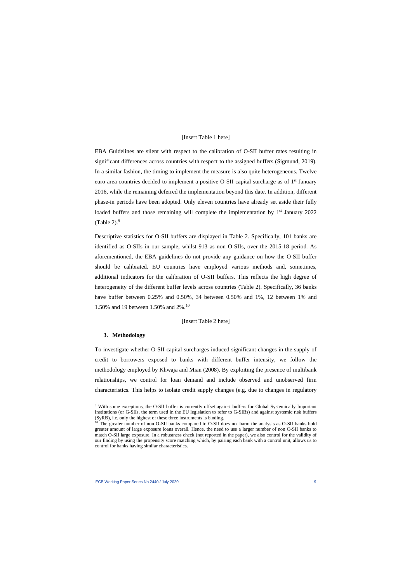#### [Insert Table 1 here]

EBA Guidelines are silent with respect to the calibration of O-SII buffer rates resulting in significant differences across countries with respect to the assigned buffers (Sigmund, 2019). In a similar fashion, the timing to implement the measure is also quite heterogeneous. Twelve euro area countries decided to implement a positive O-SII capital surcharge as of 1<sup>st</sup> January 2016, while the remaining deferred the implementation beyond this date. In addition, different phase-in periods have been adopted. Only eleven countries have already set aside their fully loaded buffers and those remaining will complete the implementation by  $1<sup>st</sup>$  January 2022  $(Table 2).<sup>9</sup>$  $(Table 2).<sup>9</sup>$  $(Table 2).<sup>9</sup>$ 

Descriptive statistics for O-SII buffers are displayed in Table 2. Specifically, 101 banks are identified as O-SIIs in our sample, whilst 913 as non O-SIIs, over the 2015-18 period. As aforementioned, the EBA guidelines do not provide any guidance on how the O-SII buffer should be calibrated. EU countries have employed various methods and, sometimes, additional indicators for the calibration of O-SII buffers. This reflects the high degree of heterogeneity of the different buffer levels across countries (Table 2). Specifically, 36 banks have buffer between 0.25% and 0.50%, 34 between 0.50% and 1%, 12 between 1% and 1.50% and 19 between 1.50% and 2%.[10](#page-9-1) 

#### [Insert Table 2 here]

#### **3. Methodology**

To investigate whether O-SII capital surcharges induced significant changes in the supply of credit to borrowers exposed to banks with different buffer intensity, we follow the methodology employed by Khwaja and Mian (2008). By exploiting the presence of multibank relationships, we control for loan demand and include observed and unobserved firm characteristics. This helps to isolate credit supply changes (e.g. due to changes in regulatory

<sup>9</sup> With some exceptions, the O-SII buffer is currently offset against buffers for Global Systemically Important Institutions (or G-SIIs, the term used in the EU legislation to refer to G-SIBs) and against systemic risk buffers (SyRB), i.e. only the highest of these three instruments is binding.

<span id="page-9-1"></span><span id="page-9-0"></span><sup>&</sup>lt;sup>10</sup> The greater number of non O-SII banks compared to O-SII does not harm the analysis as O-SII banks hold greater amount of large exposure loans overall. Hence, the need to use a larger number of non O-SII banks to match O-SII large exposure. In a robustness check (not reported in the paper), we also control for the validity of our finding by using the propensity score matching which, by pairing each bank with a control unit, allows us to control for banks having similar characteristics.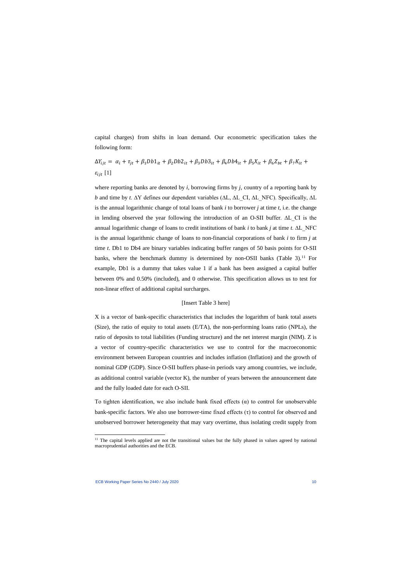capital charges) from shifts in loan demand. Our econometric specification takes the following form:

$$
\Delta Y_{ijt} = \alpha_i + \tau_{jt} + \beta_1 Db1_{it} + \beta_2 Db2_{it} + \beta_3 Db3_{it} + \beta_4 Db4_{it} + \beta_5 X_{it} + \beta_6 Z_{bt} + \beta_7 K_{it} + \varepsilon_{ijt} [1]
$$

where reporting banks are denoted by *i*, borrowing firms by *j*, country of a reporting bank by *b* and time by *t*. ∆Y defines our dependent variables (ΔL, ΔL CI, ΔL NFC). Specifically, ΔL is the annual logarithmic change of total loans of bank *i* to borrower *j* at time *t,* i.e. the change in lending observed the year following the introduction of an O-SII buffer. ∆L\_CI is the annual logarithmic change of loans to credit institutions of bank *i* to bank *j* at time *t*. ∆L\_NFC is the annual logarithmic change of loans to non-financial corporations of bank *i* to firm *j* at time *t*. Db1 to Db4 are binary variables indicating buffer ranges of 50 basis points for O-SII banks, where the benchmark dummy is determined by non-OSII banks (Table 3).<sup>[11](#page-10-0)</sup> For example, Db1 is a dummy that takes value 1 if a bank has been assigned a capital buffer between 0% and 0.50% (included), and 0 otherwise. This specification allows us to test for non-linear effect of additional capital surcharges.

#### [Insert Table 3 here]

X is a vector of bank-specific characteristics that includes the logarithm of bank total assets (Size), the ratio of equity to total assets (E/TA), the non-performing loans ratio (NPLs), the ratio of deposits to total liabilities (Funding structure) and the net interest margin (NIM). Z is a vector of country-specific characteristics we use to control for the macroeconomic environment between European countries and includes inflation (Inflation) and the growth of nominal GDP (GDP). Since O-SII buffers phase-in periods vary among countries, we include, as additional control variable (vector K), the number of years between the announcement date and the fully loaded date for each O-SII.

To tighten identification, we also include bank fixed effects  $(\alpha)$  to control for unobservable bank-specific factors. We also use borrower-time fixed effects  $(\tau)$  to control for observed and unobserved borrower heterogeneity that may vary overtime, thus isolating credit supply from

<span id="page-10-0"></span><sup>&</sup>lt;sup>11</sup> The capital levels applied are not the transitional values but the fully phased in values agreed by national macroprudential authorities and the ECB.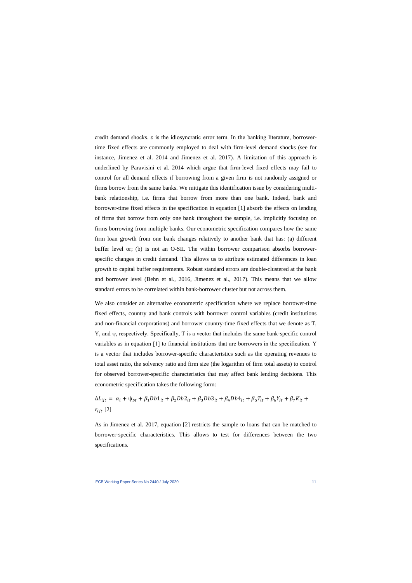credit demand shocks. ε is the idiosyncratic error term. In the banking literature, borrowertime fixed effects are commonly employed to deal with firm-level demand shocks (see for instance, Jimenez et al. 2014 and Jimenez et al. 2017). A limitation of this approach is underlined by Paravisini et al. 2014 which argue that firm-level fixed effects may fail to control for all demand effects if borrowing from a given firm is not randomly assigned or firms borrow from the same banks. We mitigate this identification issue by considering multibank relationship, i.e. firms that borrow from more than one bank. Indeed, bank and borrower-time fixed effects in the specification in equation [1] absorb the effects on lending of firms that borrow from only one bank throughout the sample, i.e. implicitly focusing on firms borrowing from multiple banks. Our econometric specification compares how the same firm loan growth from one bank changes relatively to another bank that has: (a) different buffer level or; (b) is not an O-SII. The within borrower comparison absorbs borrowerspecific changes in credit demand. This allows us to attribute estimated differences in loan growth to capital buffer requirements. Robust standard errors are double-clustered at the bank and borrower level (Behn et al., 2016, Jimenez et al., 2017). This means that we allow standard errors to be correlated within bank-borrower cluster but not across them.

We also consider an alternative econometric specification where we replace borrower-time fixed effects, country and bank controls with borrower control variables (credit institutions and non-financial corporations) and borrower country-time fixed effects that we denote as T, Y, and ψ, respectively. Specifically, T is a vector that includes the same bank-specific control variables as in equation [1] to financial institutions that are borrowers in the specification. Y is a vector that includes borrower-specific characteristics such as the operating revenues to total asset ratio, the solvency ratio and firm size (the logarithm of firm total assets) to control for observed borrower-specific characteristics that may affect bank lending decisions. This econometric specification takes the following form:

$$
\Delta L_{ijt} = \alpha_i + \psi_{bt} + \beta_1 Db1_{it} + \beta_2 Db2_{it} + \beta_3 Db3_{it} + \beta_4 Db4_{it} + \beta_5 T_{it} + \beta_6 Y_{jt} + \beta_7 K_{it} + \varepsilon_{ijt} [2]
$$

As in Jimenez et al. 2017, equation [2] restricts the sample to loans that can be matched to borrower-specific characteristics. This allows to test for differences between the two specifications.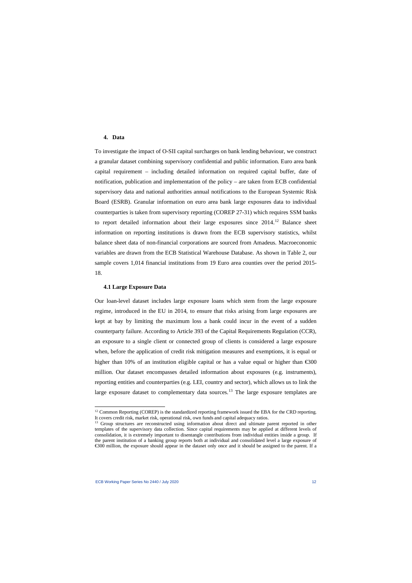### **4. Data**

To investigate the impact of O-SII capital surcharges on bank lending behaviour, we construct a granular dataset combining supervisory confidential and public information. Euro area bank capital requirement – including detailed information on required capital buffer, date of notification, publication and implementation of the policy – are taken from ECB confidential supervisory data and national authorities annual notifications to the European Systemic Risk Board (ESRB). Granular information on euro area bank large exposures data to individual counterparties is taken from supervisory reporting (COREP 27-31) which requires SSM banks to report detailed information about their large exposures since 2014.<sup>[12](#page-12-0)</sup> Balance sheet information on reporting institutions is drawn from the ECB supervisory statistics, whilst balance sheet data of non-financial corporations are sourced from Amadeus. Macroeconomic variables are drawn from the ECB Statistical Warehouse Database. As shown in Table 2, our sample covers 1,014 financial institutions from 19 Euro area counties over the period 2015- 18.

#### **4.1 Large Exposure Data**

Our loan-level dataset includes large exposure loans which stem from the large exposure regime, introduced in the EU in 2014, to ensure that risks arising from large exposures are kept at bay by limiting the maximum loss a bank could incur in the event of a sudden counterparty failure. According to Article 393 of the Capital Requirements Regulation (CCR), an exposure to a single client or connected group of clients is considered a large exposure when, before the application of credit risk mitigation measures and exemptions, it is equal or higher than 10% of an institution eligible capital or has a value equal or higher than  $\epsilon$ 300 million. Our dataset encompasses detailed information about exposures (e.g. instruments), reporting entities and counterparties (e.g. LEI, country and sector), which allows us to link the large exposure dataset to complementary data sources.<sup>[13](#page-12-1)</sup> The large exposure templates are

 $12$  Common Reporting (COREP) is the standardized reporting framework issued the EBA for the CRD reporting. It covers credit risk, market risk, operational risk, own funds and capital adequacy ratios.

<span id="page-12-1"></span><span id="page-12-0"></span><sup>&</sup>lt;sup>13</sup> Group structures are reconstructed using information about direct and ultimate parent reported in other templates of the supervisory data collection. Since capital requirements may be applied at different levels of consolidation, it is extremely important to disentangle contributions from individual entities inside a group. If the parent institution of a banking group reports both at individual and consolidated level a large exposure of €300 million, the exposure should appear in the dataset only once and it should be assigned to the parent. If a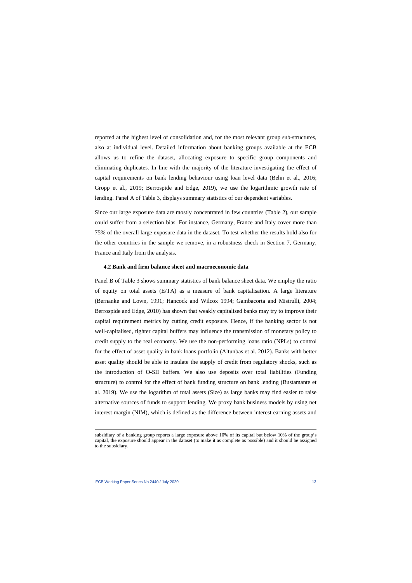reported at the highest level of consolidation and, for the most relevant group sub-structures, also at individual level. Detailed information about banking groups available at the ECB allows us to refine the dataset, allocating exposure to specific group components and eliminating duplicates. In line with the majority of the literature investigating the effect of capital requirements on bank lending behaviour using loan level data (Behn et al., 2016; Gropp et al., 2019; Berrospide and Edge, 2019), we use the logarithmic growth rate of lending. Panel A of Table 3, displays summary statistics of our dependent variables.

Since our large exposure data are mostly concentrated in few countries (Table 2), our sample could suffer from a selection bias. For instance, Germany, France and Italy cover more than 75% of the overall large exposure data in the dataset. To test whether the results hold also for the other countries in the sample we remove, in a robustness check in Section 7, Germany, France and Italy from the analysis.

### **4.2 Bank and firm balance sheet and macroeconomic data**

Panel B of Table 3 shows summary statistics of bank balance sheet data. We employ the ratio of equity on total assets (E/TA) as a measure of bank capitalisation. A large literature (Bernanke and Lown, 1991; Hancock and Wilcox 1994; Gambacorta and Mistrulli, 2004; Berrospide and Edge, 2010) has shown that weakly capitalised banks may try to improve their capital requirement metrics by cutting credit exposure. Hence, if the banking sector is not well-capitalised, tighter capital buffers may influence the transmission of monetary policy to credit supply to the real economy. We use the non-performing loans ratio (NPLs) to control for the effect of asset quality in bank loans portfolio (Altunbas et al. 2012). Banks with better asset quality should be able to insulate the supply of credit from regulatory shocks, such as the introduction of O-SII buffers. We also use deposits over total liabilities (Funding structure) to control for the effect of bank funding structure on bank lending (Bustamante et al. 2019). We use the logarithm of total assets (Size) as large banks may find easier to raise alternative sources of funds to support lending. We proxy bank business models by using net interest margin (NIM), which is defined as the difference between interest earning assets and

subsidiary of a banking group reports a large exposure above 10% of its capital but below 10% of the group's capital, the exposure should appear in the dataset (to make it as complete as possible) and it should be assigned to the subsidiary.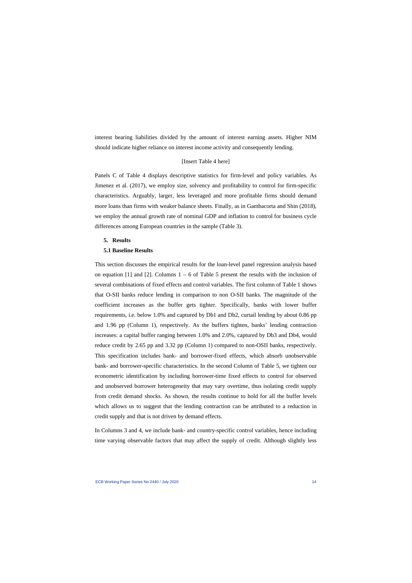interest bearing liabilities divided by the amount of interest earning assets. Higher NIM should indicate higher reliance on interest income activity and consequently lending.

### [Insert Table 4 here]

Panels C of Table 4 displays descriptive statistics for firm-level and policy variables. As Jimenez et al. (2017), we employ size, solvency and profitability to control for firm-specific characteristics. Arguably, larger, less leveraged and more profitable firms should demand more loans than firms with weaker balance sheets. Finally, as in Gambacorta and Shin (2018), we employ the annual growth rate of nominal GDP and inflation to control for business cycle differences among European countries in the sample (Table 3).

#### **5. Results**

#### **5.1 Baseline Results**

This section discusses the empirical results for the loan-level panel regression analysis based on equation [1] and [2]. Columns  $1 - 6$  of Table 5 present the results with the inclusion of several combinations of fixed effects and control variables. The first column of Table 1 shows that O-SII banks reduce lending in comparison to non O-SII banks. The magnitude of the coefficient increases as the buffer gets tighter. Specifically, banks with lower buffer requirements, i.e. below 1.0% and captured by Db1 and Db2, curtail lending by about 0.86 pp and 1.96 pp (Column 1), respectively. As the buffers tighten, banks' lending contraction increases: a capital buffer ranging between 1.0% and 2.0%, captured by Db3 and Db4, would reduce credit by 2.65 pp and 3.32 pp (Column 1) compared to non-OSII banks, respectively. This specification includes bank- and borrower-fixed effects, which absorb unobservable bank- and borrower-specific characteristics. In the second Column of Table 5, we tighten our econometric identification by including borrower-time fixed effects to control for observed and unobserved borrower heterogeneity that may vary overtime, thus isolating credit supply from credit demand shocks. As shown, the results continue to hold for all the buffer levels which allows us to suggest that the lending contraction can be attributed to a reduction in credit supply and that is not driven by demand effects.

In Columns 3 and 4, we include bank- and country-specific control variables, hence including time varying observable factors that may affect the supply of credit. Although slightly less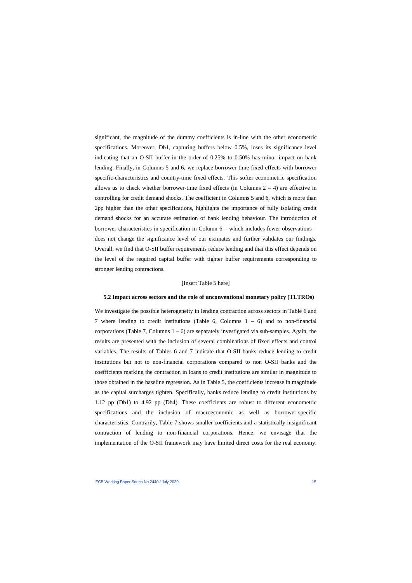significant, the magnitude of the dummy coefficients is in-line with the other econometric specifications. Moreover, Db1, capturing buffers below 0.5%, loses its significance level indicating that an O-SII buffer in the order of 0.25% to 0.50% has minor impact on bank lending. Finally, in Columns 5 and 6, we replace borrower-time fixed effects with borrower specific-characteristics and country-time fixed effects. This softer econometric specification allows us to check whether borrower-time fixed effects (in Columns  $2 - 4$ ) are effective in controlling for credit demand shocks. The coefficient in Columns 5 and 6, which is more than 2pp higher than the other specifications, highlights the importance of fully isolating credit demand shocks for an accurate estimation of bank lending behaviour. The introduction of borrower characteristics in specification in Column 6 – which includes fewer observations – does not change the significance level of our estimates and further validates our findings. Overall, we find that O-SII buffer requirements reduce lending and that this effect depends on the level of the required capital buffer with tighter buffer requirements corresponding to stronger lending contractions.

#### [Insert Table 5 here]

#### **5.2 Impact across sectors and the role of unconventional monetary policy (TLTROs)**

We investigate the possible heterogeneity in lending contraction across sectors in Table 6 and 7 where lending to credit institutions (Table 6, Columns  $1 - 6$ ) and to non-financial corporations (Table 7, Columns  $1 - 6$ ) are separately investigated via sub-samples. Again, the results are presented with the inclusion of several combinations of fixed effects and control variables. The results of Tables 6 and 7 indicate that O-SII banks reduce lending to credit institutions but not to non-financial corporations compared to non O-SII banks and the coefficients marking the contraction in loans to credit institutions are similar in magnitude to those obtained in the baseline regression. As in Table 5, the coefficients increase in magnitude as the capital surcharges tighten. Specifically, banks reduce lending to credit institutions by 1.12 pp (Db1) to 4.92 pp (Db4). These coefficients are robust to different econometric specifications and the inclusion of macroeconomic as well as borrower-specific characteristics. Contrarily, Table 7 shows smaller coefficients and a statistically insignificant contraction of lending to non-financial corporations. Hence, we envisage that the implementation of the O-SII framework may have limited direct costs for the real economy.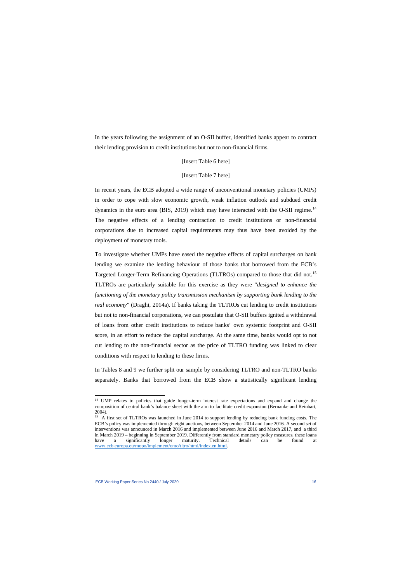In the years following the assignment of an O-SII buffer, identified banks appear to contract their lending provision to credit institutions but not to non-financial firms.

### [Insert Table 6 here]

#### [Insert Table 7 here]

In recent years, the ECB adopted a wide range of unconventional monetary policies (UMPs) in order to cope with slow economic growth, weak inflation outlook and subdued credit dynamics in the euro area (BIS, 2019) which may have interacted with the O-SII regime.<sup>[14](#page-16-0)</sup> The negative effects of a lending contraction to credit institutions or non-financial corporations due to increased capital requirements may thus have been avoided by the deployment of monetary tools.

To investigate whether UMPs have eased the negative effects of capital surcharges on bank lending we examine the lending behaviour of those banks that borrowed from the ECB's Targeted Longer-Term Refinancing Operations (TLTROs) compared to those that did not.<sup>[15](#page-16-1)</sup> TLTROs are particularly suitable for this exercise as they were "*designed to enhance the functioning of the monetary policy transmission mechanism by supporting bank lending to the real economy*" (Draghi, 2014a). If banks taking the TLTROs cut lending to credit institutions but not to non-financial corporations, we can postulate that O-SII buffers ignited a withdrawal of loans from other credit institutions to reduce banks' own systemic footprint and O-SII score, in an effort to reduce the capital surcharge. At the same time, banks would opt to not cut lending to the non-financial sector as the price of TLTRO funding was linked to clear conditions with respect to lending to these firms.

In Tables 8 and 9 we further split our sample by considering TLTRO and non-TLTRO banks separately. Banks that borrowed from the ECB show a statistically significant lending

<sup>&</sup>lt;sup>14</sup> UMP relates to policies that guide longer-term interest rate expectations and expand and change the composition of central bank's balance sheet with the aim to facilitate credit expansion (Bernanke and Reinhart, 2004).

<span id="page-16-1"></span><span id="page-16-0"></span><sup>&</sup>lt;sup>15</sup> A first set of TLTROs was launched in June 2014 to support lending by reducing bank funding costs. The ECB's policy was implemented through eight auctions, between September 2014 and June 2016. A second set of interventions was announced in March 2016 and implemented between June 2016 and March 2017, and a third in March 2019 – beginning in September 2019. Differently from standard monetary policy measures, these loans have a significantly longer maturity. Technical details can be found at [www.ecb.europa.eu/mopo/implement/omo/tltro/html/index.en.html.](http://www.ecb.europa.eu/mopo/implement/omo/tltro/html/index.en.html)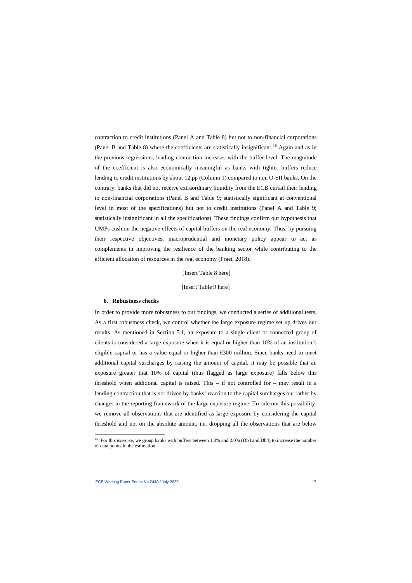contraction to credit institutions (Panel A and Table 8) but not to non-financial corporations (Panel B and Table 8) where the coefficients are statistically insignificant.<sup>[16](#page-17-0)</sup> Again and as in the previous regressions, lending contraction increases with the buffer level. The magnitude of the coefficient is also economically meaningful as banks with tighter buffers reduce lending to credit institutions by about 12 pp (Column 1) compared to non O-SII banks. On the contrary, banks that did not receive extraordinary liquidity from the ECB curtail their lending to non-financial corporations (Panel B and Table 9; statistically significant at conventional level in most of the specifications) but not to credit institutions (Panel A and Table 9; statistically insignificant in all the specifications). These findings confirm our hypothesis that UMPs cushion the negative effects of capital buffers on the real economy. Thus, by pursuing their respective objectives, macroprudential and monetary policy appear to act as complements in improving the resilience of the banking sector while contributing to the efficient allocation of resources in the real economy (Praet, 2018).

#### [Insert Table 8 here]

#### [Insert Table 9 here]

#### **6. Robustness checks**

In order to provide more robustness to our findings, we conducted a series of additional tests. As a first robustness check, we control whether the large exposure regime set up drives our results. As mentioned in Section 5.1, an exposure to a single client or connected group of clients is considered a large exposure when it is equal or higher than 10% of an institution's eligible capital or has a value equal or higher than €300 million. Since banks need to meet additional capital surcharges by raising the amount of capital, it may be possible that an exposure greater that 10% of capital (thus flagged as large exposure) falls below this threshold when additional capital is raised. This  $-$  if not controlled for  $-$  may result in a lending contraction that is not driven by banks' reaction to the capital surcharges but rather by changes in the reporting framework of the large exposure regime. To rule out this possibility, we remove all observations that are identified as large exposure by considering the capital threshold and not on the absolute amount, i.e. dropping all the observations that are below

<span id="page-17-0"></span><sup>&</sup>lt;sup>16</sup> For this exercise, we group banks with buffers between 1.0% and 2.0% (Db3 and Db4) to increase the number of data points in the estimation.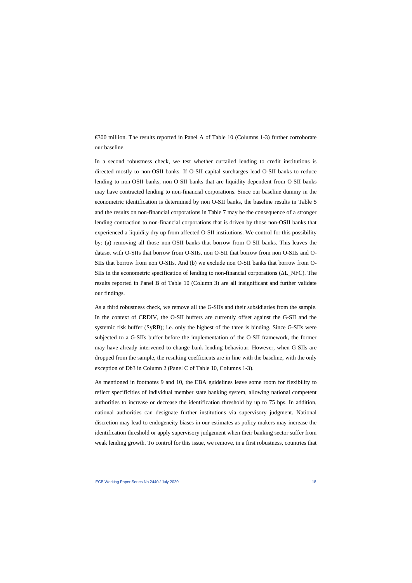€300 million. The results reported in Panel A of Table 10 (Columns 1-3) further corroborate our baseline.

In a second robustness check, we test whether curtailed lending to credit institutions is directed mostly to non-OSII banks. If O-SII capital surcharges lead O-SII banks to reduce lending to non-OSII banks, non O-SII banks that are liquidity-dependent from O-SII banks may have contracted lending to non-financial corporations. Since our baseline dummy in the econometric identification is determined by non O-SII banks, the baseline results in Table 5 and the results on non-financial corporations in Table 7 may be the consequence of a stronger lending contraction to non-financial corporations that is driven by those non-OSII banks that experienced a liquidity dry up from affected O-SII institutions. We control for this possibility by: (a) removing all those non-OSII banks that borrow from O-SII banks. This leaves the dataset with O-SIIs that borrow from O-SIIs, non O-SII that borrow from non O-SIIs and O-SIIs that borrow from non O-SIIs. And (b) we exclude non O-SII banks that borrow from O-SIIs in the econometric specification of lending to non-financial corporations (∆L\_NFC). The results reported in Panel B of Table 10 (Column 3) are all insignificant and further validate our findings.

As a third robustness check, we remove all the G-SIIs and their subsidiaries from the sample. In the context of CRDIV, the O-SII buffers are currently offset against the G-SII and the systemic risk buffer (SyRB); i.e. only the highest of the three is binding. Since G-SIIs were subjected to a G-SIIs buffer before the implementation of the O-SII framework, the former may have already intervened to change bank lending behaviour. However, when G-SIIs are dropped from the sample, the resulting coefficients are in line with the baseline, with the only exception of Db3 in Column 2 (Panel C of Table 10, Columns 1-3).

As mentioned in footnotes 9 and 10, the EBA guidelines leave some room for flexibility to reflect specificities of individual member state banking system, allowing national competent authorities to increase or decrease the identification threshold by up to 75 bps. In addition, national authorities can designate further institutions via supervisory judgment. National discretion may lead to endogeneity biases in our estimates as policy makers may increase the identification threshold or apply supervisory judgement when their banking sector suffer from weak lending growth. To control for this issue, we remove, in a first robustness, countries that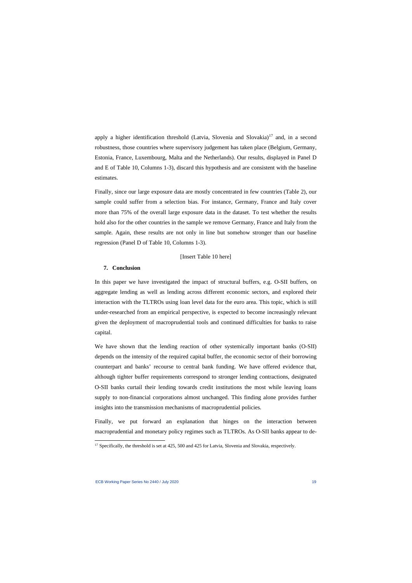apply a higher identification threshold (Latvia, Slovenia and Slovakia)<sup>[17](#page-19-0)</sup> and, in a second robustness, those countries where supervisory judgement has taken place (Belgium, Germany, Estonia, France, Luxembourg, Malta and the Netherlands). Our results, displayed in Panel D and E of Table 10, Columns 1-3), discard this hypothesis and are consistent with the baseline estimates.

Finally, since our large exposure data are mostly concentrated in few countries (Table 2), our sample could suffer from a selection bias. For instance, Germany, France and Italy cover more than 75% of the overall large exposure data in the dataset. To test whether the results hold also for the other countries in the sample we remove Germany, France and Italy from the sample. Again, these results are not only in line but somehow stronger than our baseline regression (Panel D of Table 10, Columns 1-3).

#### [Insert Table 10 here]

## **7. Conclusion**

In this paper we have investigated the impact of structural buffers, e.g. O-SII buffers, on aggregate lending as well as lending across different economic sectors, and explored their interaction with the TLTROs using loan level data for the euro area. This topic, which is still under-researched from an empirical perspective, is expected to become increasingly relevant given the deployment of macroprudential tools and continued difficulties for banks to raise capital.

We have shown that the lending reaction of other systemically important banks (O-SII) depends on the intensity of the required capital buffer, the economic sector of their borrowing counterpart and banks' recourse to central bank funding. We have offered evidence that, although tighter buffer requirements correspond to stronger lending contractions, designated O-SII banks curtail their lending towards credit institutions the most while leaving loans supply to non-financial corporations almost unchanged. This finding alone provides further insights into the transmission mechanisms of macroprudential policies.

Finally, we put forward an explanation that hinges on the interaction between macroprudential and monetary policy regimes such as TLTROs. As O-SII banks appear to de-

<span id="page-19-0"></span><sup>&</sup>lt;sup>17</sup> Specifically, the threshold is set at 425, 500 and 425 for Latvia, Slovenia and Slovakia, respectively.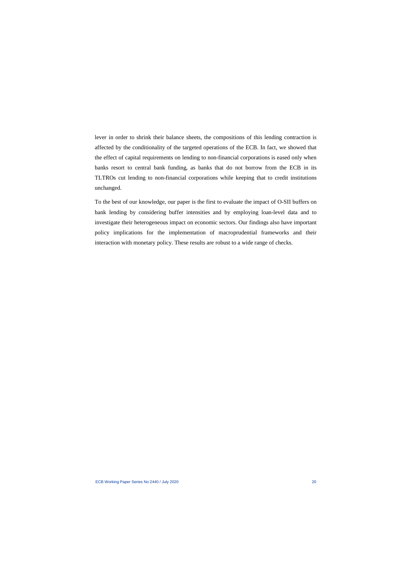lever in order to shrink their balance sheets, the compositions of this lending contraction is affected by the conditionality of the targeted operations of the ECB. In fact, we showed that the effect of capital requirements on lending to non-financial corporations is eased only when banks resort to central bank funding, as banks that do not borrow from the ECB in its TLTROs cut lending to non-financial corporations while keeping that to credit institutions unchanged.

To the best of our knowledge, our paper is the first to evaluate the impact of O-SII buffers on bank lending by considering buffer intensities and by employing loan-level data and to investigate their heterogeneous impact on economic sectors. Our findings also have important policy implications for the implementation of macroprudential frameworks and their interaction with monetary policy. These results are robust to a wide range of checks.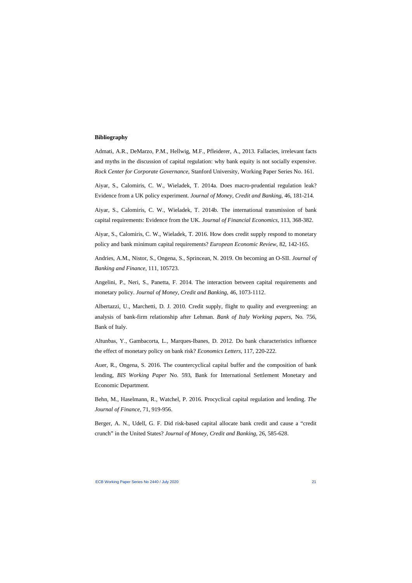#### **Bibliography**

Admati, A.R., DeMarzo, P.M., Hellwig, M.F., Pfleiderer, A., 2013. Fallacies, irrelevant facts and myths in the discussion of capital regulation: why bank equity is not socially expensive. *Rock Center for Corporate Governance*, Stanford University, Working Paper Series No. 161.

Aiyar, S., Calomiris, C. W., Wieladek, T. 2014a. Does macro-prudential regulation leak? Evidence from a UK policy experiment. *Journal of Money, Credit and Banking*, 46, 181-214.

Aiyar, S., Calomiris, C. W., Wieladek, T. 2014b. The international transmission of bank capital requirements: Evidence from the UK. *Journal of Financial Economics*, 113, 368-382.

Aiyar, S., Calomiris, C. W., Wieladek, T. 2016. How does credit supply respond to monetary policy and bank minimum capital requirements? *European Economic Review*, 82, 142-165.

Andries, A.M., Nistor, S., Ongena, S., Sprincean, N. 2019. On becoming an O-SII. *Journal of Banking and Finance*, 111, 105723.

Angelini, P., Neri, S., Panetta, F. 2014. The interaction between capital requirements and monetary policy. *Journal of Money, Credit and Banking*, 46, 1073-1112.

Albertazzi, U., Marchetti, D. J. 2010. Credit supply, flight to quality and evergreening: an analysis of bank-firm relationship after Lehman. *Bank of Italy Working papers*, No. 756, Bank of Italy.

Altunbas, Y., Gambacorta, L., Marques-Ibanes, D. 2012. Do bank characteristics influence the effect of monetary policy on bank risk? *Economics Letters*, 117, 220-222.

Auer, R., Ongena, S. 2016. The countercyclical capital buffer and the composition of bank lending, *BIS Working Paper* No. 593, Bank for International Settlement Monetary and Economic Department.

Behn, M., Haselmann, R., Watchel, P. 2016. Procyclical capital regulation and lending. *The Journal of Finance*, 71, 919-956.

Berger, A. N., Udell, G. F. Did risk-based capital allocate bank credit and cause a "credit crunch" in the United States? *Journal of Money, Credit and Banking*, 26, 585-628.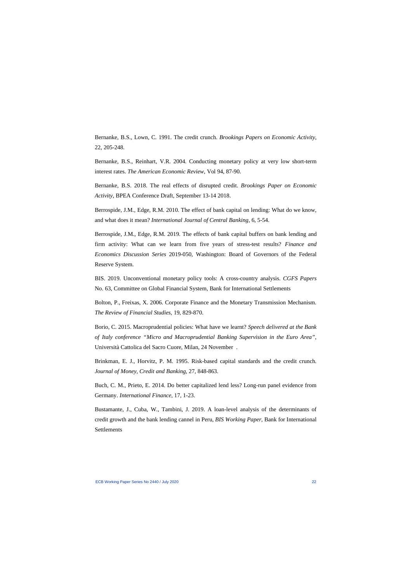Bernanke, B.S., Lown, C. 1991. The credit crunch. *Brookings Papers on Economic Activity*, 22, 205-248.

Bernanke, B.S., Reinhart, V.R. 2004. Conducting monetary policy at very low short-term interest rates. *The American Economic Review*, Vol 94, 87-90.

Bernanke, B.S. 2018. The real effects of disrupted credit. *Brookings Paper on Economic Activity*, BPEA Conference Draft, September 13-14 2018.

Berrospide, J.M., Edge, R.M. 2010. The effect of bank capital on lending: What do we know, and what does it mean? *International Journal of Central Banking*, 6, 5-54.

Berrospide, J.M., Edge, R.M. 2019. The effects of bank capital buffers on bank lending and firm activity: What can we learn from five years of stress-test results? *Finance and Economics Discussion Series* 2019-050, Washington: Board of Governors of the Federal Reserve System.

BIS. 2019. Unconventional monetary policy tools: A cross-country analysis. *CGFS Papers* No. 63, Committee on Global Financial System, Bank for International Settlements

Bolton, P., Freixas, X. 2006. Corporate Finance and the Monetary Transmission Mechanism. *The Review of Financial Studies*, 19, 829-870.

Borio, C. 2015. Macroprudential policies: What have we learnt? *Speech delivered at the Bank of Italy conference "Micro and Macroprudential Banking Supervision in the Euro Area"*, Università Cattolica del Sacro Cuore, Milan, 24 November .

Brinkman, E. J., Horvitz, P. M. 1995. Risk-based capital standards and the credit crunch. *Journal of Money, Credit and Banking,* 27, 848-863.

Buch, C. M., Prieto, E. 2014. Do better capitalized lend less? Long-run panel evidence from Germany. *International Finance*, 17, 1-23.

Bustamante, J., Cuba, W., Tambini, J. 2019. A loan-level analysis of the determinants of credit growth and the bank lending cannel in Peru, *BIS Working Paper*, Bank for International **Settlements**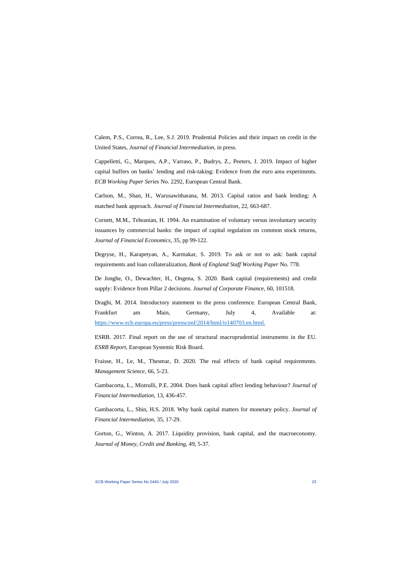Calem, P.S., Correa, R., Lee, S.J. 2019. Prudential Policies and their impact on credit in the United States, *Journal of Financial Intermediation,* in press.

Cappelletti, G., Marques, A.P., Varraso, P., Budrys, Z., Peeters, J. 2019. Impact of higher capital buffers on banks' lending and risk-taking: Evidence from the euro area experiments. *ECB Working Paper Series* No. 2292, European Central Bank.

Carlson, M., Shan, H., Warusawitharana, M. 2013. Capital ratios and bank lending: A matched bank approach. *Journal of Financial Intermediation*, 22, 663-687.

Cornett, M.M., Tehranian, H. 1994. An examination of voluntary versus involuntary security issuances by commercial banks: the impact of capital regulation on common stock returns, *Journal of Financial Economics*, 35, pp 99-122.

Degryse, H., Karapetyan, A., Karmakar, S. 2019. To ask or not to ask: bank capital requirements and loan collateralization*, Bank of England Staff Working Paper* No. 778.

De Jonghe, O., Dewachter, H., Ongena, S. 2020. Bank capital (requirements) and credit supply: Evidence from Pillar 2 decisions. *Journal of Corporate Finance*, 60, 101518.

Draghi, M. 2014. Introductory statement to the press conference. European Central Bank, Frankfurt am Main, Germany, July 4, Available at: [https://www.ecb.europa.eu/press/pressconf/2014/html/is140703.en.html.](https://www.ecb.europa.eu/press/pressconf/2014/html/is140703.en.html)

ESRB. 2017. Final report on the use of structural macroprudential instruments in the EU. *ESRB Report*, European Systemic Risk Board.

Fraisse, H., Le, M., Thesmar, D. 2020. The real effects of bank capital requirements. *Management Science*, 66, 5-23.

Gambacorta, L., Mistrulli, P.E. 2004. Does bank capital affect lending behaviour? *Journal of Financial Intermediation*, 13, 436-457.

Gambacorta, L., Shin, H.S. 2018. Why bank capital matters for monetary policy. *Journal of Financial Intermediation*, 35, 17-29.

Gorton, G., Winton, A. 2017. Liquidity provision, bank capital, and the macroeconomy. *Journal of Money, Credit and Banking,* 49, 5-37.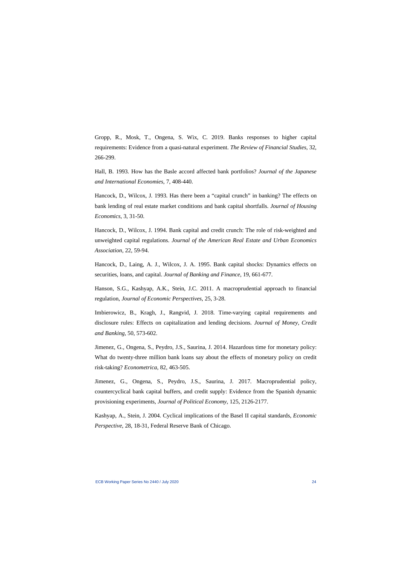Gropp, R., Mosk, T., Ongena, S. Wix, C. 2019. Banks responses to higher capital requirements: Evidence from a quasi-natural experiment. *The Review of Financial Studies*, 32, 266-299.

Hall, B. 1993. How has the Basle accord affected bank portfolios? *Journal of the Japanese and International Economies,* 7, 408-440.

Hancock, D., Wilcox, J. 1993. Has there been a "capital crunch" in banking? The effects on bank lending of real estate market conditions and bank capital shortfalls. *Journal of Housing Economics*, 3, 31-50.

Hancock, D., Wilcox, J. 1994. Bank capital and credit crunch: The role of risk-weighted and unweighted capital regulations. *Journal of the American Real Estate and Urban Economics Association*, 22, 59-94.

Hancock, D., Laing, A. J., Wilcox, J. A. 1995. Bank capital shocks: Dynamics effects on securities, loans, and capital. *Journal of Banking and Finance*, 19, 661-677.

Hanson, S.G., Kashyap, A.K., Stein, J.C. 2011. A macroprudential approach to financial regulation, *Journal of Economic Perspectives*, 25, 3-28.

Imbierowicz, B., Kragh, J., Rangvid, J. 2018. Time-varying capital requirements and disclosure rules: Effects on capitalization and lending decisions. *Journal of Money, Credit and Banking,* 50, 573-602.

Jimenez, G., Ongena, S., Peydro, J.S., Saurina, J. 2014. Hazardous time for monetary policy: What do twenty-three million bank loans say about the effects of monetary policy on credit risk-taking? *Econometrica*, 82, 463-505.

Jimenez, G., Ongena, S., Peydro, J.S., Saurina, J. 2017. Macroprudential policy, countercyclical bank capital buffers, and credit supply: Evidence from the Spanish dynamic provisioning experiments, *Journal of Political Economy*, 125, 2126-2177.

Kashyap, A., Stein, J. 2004. Cyclical implications of the Basel II capital standards, *Economic Perspective*, 28, 18-31, Federal Reserve Bank of Chicago.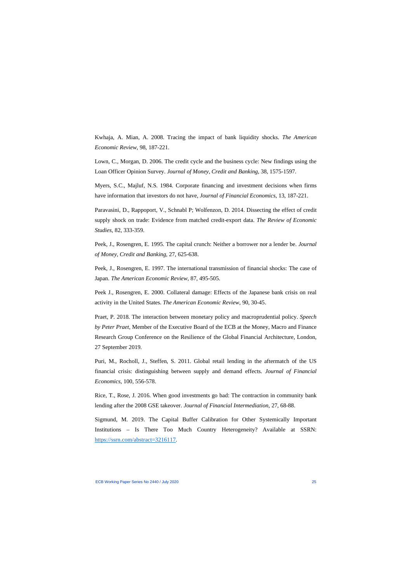Kwhaja, A. Mian, A. 2008. Tracing the impact of bank liquidity shocks. *The American Economic Review*, 98, 187-221.

Lown, C., Morgan, D. 2006. The credit cycle and the business cycle: New findings using the Loan Officer Opinion Survey. *Journal of Money, Credit and Banking*, 38, 1575-1597.

Myers, S.C., Majluf, N.S. 1984. Corporate financing and investment decisions when firms have information that investors do not have, *Journal of Financial Economics*, 13, 187-221.

Paravasini, D., Rappoport, V., Schnabl P; Wolfenzon, D. 2014. Dissecting the effect of credit supply shock on trade: Evidence from matched credit-export data. *The Review of Economic Studies*, 82, 333-359.

Peek, J., Rosengren, E. 1995. The capital crunch: Neither a borrower nor a lender be. *Journal of Money, Credit and Banking,* 27, 625-638.

Peek, J., Rosengren, E. 1997. The international transmission of financial shocks: The case of Japan. *The American Economic Review*, 87, 495-505.

Peek J., Rosengren, E. 2000. Collateral damage: Effects of the Japanese bank crisis on real activity in the United States. *The American Economic Review*, 90, 30-45.

Praet, P. 2018. The interaction between monetary policy and macroprudential policy. *Speech by Peter Praet*, Member of the Executive Board of the ECB at the Money, Macro and Finance Research Group Conference on the Resilience of the Global Financial Architecture, London, 27 September 2019.

Puri, M., Rocholl, J., Steffen, S. 2011. Global retail lending in the aftermatch of the US financial crisis: distinguishing between supply and demand effects. *Journal of Financial Economics*, 100, 556-578.

Rice, T., Rose, J. 2016. When good investments go bad: The contraction in community bank lending after the 2008 GSE takeover. *Journal of Financial Intermediation*, 27, 68-88.

Sigmund, M. 2019. The Capital Buffer Calibration for Other Systemically Important Institutions – Is There Too Much Country Heterogeneity? Available at SSRN: [https://ssrn.com/abstract=3216117.](https://ssrn.com/abstract=3216117)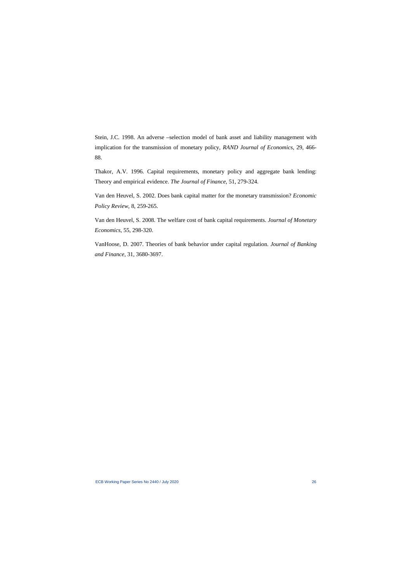Stein, J.C. 1998. An adverse –selection model of bank asset and liability management with implication for the transmission of monetary policy, *RAND Journal of Economics*, 29, 466- 88.

Thakor, A.V. 1996. Capital requirements, monetary policy and aggregate bank lending: Theory and empirical evidence. *The Journal of Finance*, 51, 279-324.

Van den Heuvel, S. 2002. Does bank capital matter for the monetary transmission? *Economic Policy Review*, 8, 259-265.

Van den Heuvel, S. 2008. The welfare cost of bank capital requirements. *Journal of Monetary Economics*, 55, 298-320.

VanHoose, D. 2007. Theories of bank behavior under capital regulation. *Journal of Banking and Finance*, 31, 3680-3697.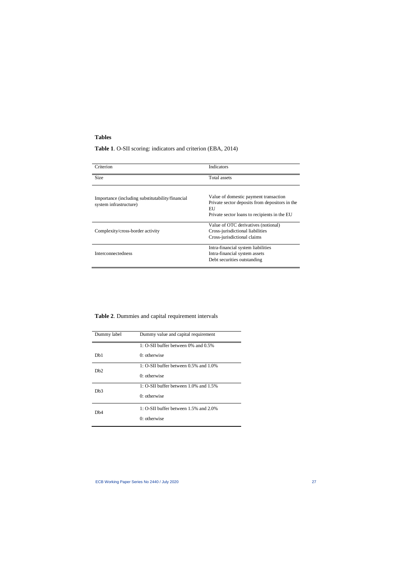## **Tables**

## **Table 1**. O-SII scoring: indicators and criterion (EBA, 2014)

| Criterion                                                                  | Indicators                                                                                                                                    |
|----------------------------------------------------------------------------|-----------------------------------------------------------------------------------------------------------------------------------------------|
| Size                                                                       | Total assets                                                                                                                                  |
| Importance (including substitutability/financial<br>system infrastructure) | Value of domestic payment transaction<br>Private sector deposits from depositors in the<br>EU<br>Private sector loans to recipients in the EU |
| Complexity/cross-border activity                                           | Value of OTC derivatives (notional)<br>Cross-jurisdictional liabilities<br>Cross-jurisdictional claims                                        |
| <b>Interconnectedness</b>                                                  | Intra-financial system liabilities<br>Intra-financial system assets<br>Debt securities outstanding                                            |

| Dummy label      | Dummy value and capital requirement     |  |  |
|------------------|-----------------------------------------|--|--|
|                  | 1: $O-SII$ buffer between 0% and 0.5%   |  |  |
| D <sub>b</sub> 1 | $0:$ otherwise                          |  |  |
| D <sub>b</sub> 2 | 1: $O-SII$ buffer between 0.5% and 1.0% |  |  |
|                  | $0:$ otherwise                          |  |  |
| Dh3              | 1: O-SII buffer between 1.0% and 1.5%   |  |  |
|                  | $0:$ otherwise                          |  |  |
| Dh4              | 1: $O-SII$ buffer between 1.5% and 2.0% |  |  |
|                  | $0$ : otherwise                         |  |  |

## **Table 2**. Dummies and capital requirement intervals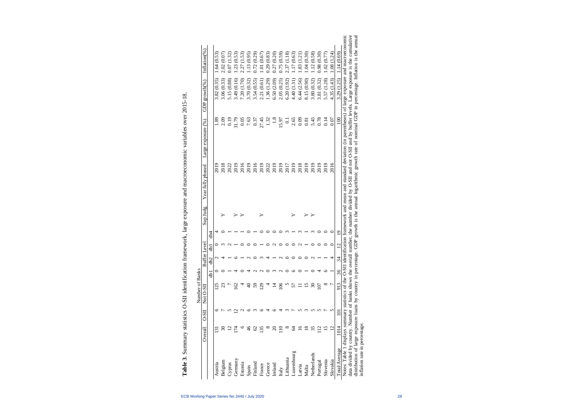| ì                                                                               |
|---------------------------------------------------------------------------------|
| .<br>ג<br>ı                                                                     |
| くっしゃく                                                                           |
|                                                                                 |
| $-2$                                                                            |
|                                                                                 |
|                                                                                 |
|                                                                                 |
|                                                                                 |
|                                                                                 |
|                                                                                 |
|                                                                                 |
|                                                                                 |
|                                                                                 |
|                                                                                 |
|                                                                                 |
|                                                                                 |
|                                                                                 |
|                                                                                 |
|                                                                                 |
|                                                                                 |
|                                                                                 |
| יש במה הש                                                                       |
| attraction transmotorically loro original on a concorrence original o<br>:<br>; |
|                                                                                 |
|                                                                                 |
|                                                                                 |
|                                                                                 |
|                                                                                 |
|                                                                                 |
|                                                                                 |
|                                                                                 |
|                                                                                 |
| $\frac{1}{2}$                                                                   |
| -- 11 J (<br>j                                                                  |
|                                                                                 |
|                                                                                 |
|                                                                                 |
|                                                                                 |
|                                                                                 |
|                                                                                 |
|                                                                                 |
|                                                                                 |
|                                                                                 |
|                                                                                 |
|                                                                                 |

|                                                                                                                                  |                         |                  | Number of Banks |    |        |                         |                |          |                   |                                                                                                                                                                                                                |                   |                  |
|----------------------------------------------------------------------------------------------------------------------------------|-------------------------|------------------|-----------------|----|--------|-------------------------|----------------|----------|-------------------|----------------------------------------------------------------------------------------------------------------------------------------------------------------------------------------------------------------|-------------------|------------------|
|                                                                                                                                  | Overall                 | $0 - SI$         | Not O-SII       |    | Buffer | Level                   |                | Sup Judg | Year fully phased | Large exposure (%)                                                                                                                                                                                             | GDP growth $(\%)$ | Inflation $(\%)$ |
|                                                                                                                                  |                         |                  |                 | ЪI | db2    | db3                     | db4            |          |                   |                                                                                                                                                                                                                |                   |                  |
| Austria                                                                                                                          |                         |                  | $\overline{25}$ |    |        |                         |                |          | 2019              | 1.89                                                                                                                                                                                                           | 3.82 (0.35)       | .64(0.53)        |
| Belgium                                                                                                                          |                         |                  | g               |    |        |                         |                |          | 2018              | 2.09                                                                                                                                                                                                           | 3.06(0.33)        | 2.02 (0.07       |
| Cyprus                                                                                                                           |                         |                  |                 |    |        |                         |                |          | 2022              | 0.19                                                                                                                                                                                                           | 5.15 (0.88)       | (1.32)<br>0.07(  |
| Germany                                                                                                                          |                         |                  | $\overline{c}$  |    |        |                         |                |          | 2019              | 31.79                                                                                                                                                                                                          | 3.49 (0.16)       | .23(0.53)        |
| Estonia                                                                                                                          |                         |                  |                 |    |        |                         |                |          | 2016              | 0.05                                                                                                                                                                                                           | 7.20 (1.70)       | 2.27 (1.53)      |
| Spain                                                                                                                            | $\frac{\delta}{\delta}$ |                  | $\Theta$        |    |        |                         |                |          | 2019              | 7.63                                                                                                                                                                                                           | 3.70 (0.32)       | .13(0.95)        |
| Finland                                                                                                                          | 2                       |                  | \$              |    |        |                         |                |          | 2016              | 0.37                                                                                                                                                                                                           | 3.54(0.55)        | 0.72(0.29)       |
| France                                                                                                                           | 135                     |                  | $\overline{5}$  |    |        |                         |                |          | 2019              | 27.45                                                                                                                                                                                                          | 2.21 (0.61        | 1.01(0.67)       |
| Greece                                                                                                                           | ∞                       |                  |                 |    |        |                         |                |          | 2022              | 1.32                                                                                                                                                                                                           | 1.36 (1.29)       | 0.29(0.83)       |
| Ireland                                                                                                                          | ຊ                       |                  |                 |    |        |                         |                |          | 2019              | $\frac{8}{1}$                                                                                                                                                                                                  | 6.50(2.09)        | 0.27(0.20)       |
| Italy                                                                                                                            |                         |                  | 106             |    |        |                         |                |          | 2019              | 15.97                                                                                                                                                                                                          | 2.05(0.25)        | 0.75(0.59)       |
| Lithuania                                                                                                                        |                         |                  |                 |    |        |                         |                |          | 2017              | $\overline{c}$                                                                                                                                                                                                 | 6.20 (1.92)       | 2.37(1.18)       |
| Luxembourg                                                                                                                       | Z                       |                  | 57              |    |        |                         |                |          | 2019              | 2.65                                                                                                                                                                                                           | 4.40 (1.31)       | 1.17(0.63)       |
| Latvia                                                                                                                           | $\overline{\mathsf{c}}$ |                  |                 |    |        |                         |                |          | 2018              | 0.09                                                                                                                                                                                                           | 6.44 (2.56)       | .83(1.21)        |
| Malta                                                                                                                            | $\frac{8}{18}$          |                  | $\overline{15}$ |    |        |                         |                |          | 2019              | 0.81                                                                                                                                                                                                           | 8.15 (0.90)       | .04(0.30)        |
| Netherlands                                                                                                                      | 35                      |                  | నె              |    |        |                         |                |          | 2019              | 5.45                                                                                                                                                                                                           | 3.80(0.32)        | .12(0.58)        |
| Portugal                                                                                                                         |                         |                  | $\overline{5}$  |    |        |                         |                |          | 2019              | 0.78                                                                                                                                                                                                           | 3.81 (0.32)       | 0.98 (0.30)      |
| Slovenia                                                                                                                         |                         |                  | $\infty$        |    |        |                         |                |          | 2019              | 0.14                                                                                                                                                                                                           | 5.57 (1.28)       | .02(0.77)        |
| Slovakia                                                                                                                         | $\overline{C}$          |                  |                 |    | 4      |                         |                |          | 2016              | 0.07                                                                                                                                                                                                           | 4.35(1.43)        | 1.08(1.24)       |
| Total/Average                                                                                                                    | 1014                    | $\overline{101}$ | 913             | 36 | 34     | $\overline{\mathbf{C}}$ | $\overline{0}$ |          |                   | 100                                                                                                                                                                                                            | 3.29 (1.25)       | 1.14(0.69)       |
| Notes: Table 1 displays summary statistics of the O-SII ident                                                                    |                         |                  |                 |    |        |                         |                |          |                   | ification framework and mean and standard deviation (in parentheses) of large exposure and macroeconomic                                                                                                       |                   |                  |
| distribution of large exposure loans by country in percentage. GDP<br>data divided by country. Number of banks shows the overall |                         |                  |                 |    |        |                         |                |          |                   | number, the number divided by O-SII and not O-SII and by buffer levels. Large exposure is the cumulative<br>growth is the annual logarithmic growth rate of nominal GDP in percentage. Inflation is the annual |                   |                  |
| inflation rate in percentage.                                                                                                    |                         |                  |                 |    |        |                         |                |          |                   |                                                                                                                                                                                                                |                   |                  |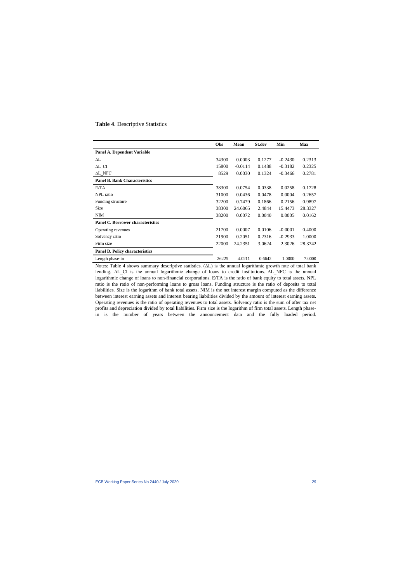#### **Table 4**. Descriptive Statistics

|                                          | Obs   | <b>Mean</b> | <b>St.dev</b> | Min       | <b>Max</b> |
|------------------------------------------|-------|-------------|---------------|-----------|------------|
| Panel A. Dependent Variable              |       |             |               |           |            |
| $\Delta L$                               | 34300 | 0.0003      | 0.1277        | $-0.2430$ | 0.2313     |
| ΔL CI                                    | 15800 | $-0.0114$   | 0.1488        | $-0.3182$ | 0.2325     |
| AL NFC                                   | 8529  | 0.0030      | 0.1324        | $-0.3466$ | 0.2781     |
| <b>Panel B. Bank Characteristics</b>     |       |             |               |           |            |
| E/TA                                     | 38300 | 0.0754      | 0.0338        | 0.0258    | 0.1728     |
| NPL ratio                                | 31000 | 0.0436      | 0.0478        | 0.0004    | 0.2657     |
| Funding structure                        | 32200 | 0.7479      | 0.1866        | 0.2156    | 0.9897     |
| Size                                     | 38300 | 24.6065     | 2.4844        | 15.4473   | 28.3327    |
| <b>NIM</b>                               | 38200 | 0.0072      | 0.0040        | 0.0005    | 0.0162     |
| <b>Panel C. Borrower characteristics</b> |       |             |               |           |            |
| Operating revenues                       | 21700 | 0.0007      | 0.0106        | $-0.0001$ | 0.4000     |
| Solvency ratio                           | 21900 | 0.2051      | 0.2316        | $-0.2933$ | 1.0000     |
| Firm size                                | 22000 | 24.2351     | 3.0624        | 2.3026    | 28.3742    |
| <b>Panel D. Policy characteristics</b>   |       |             |               |           |            |
| Length phase-in                          | 26225 | 4.0211      | 0.6642        | 1.0000    | 7.0000     |

Notes: Table 4 shows summary descriptive statistics. (∆L) is the annual logarithmic growth rate of total bank lending. ∆L\_CI is the annual logarithmic change of loans to credit institutions. ∆L\_NFC is the annual logarithmic change of loans to non-financial corporations. E/TA is the ratio of bank equity to total assets. NPL ratio is the ratio of non-performing loans to gross loans. Funding structure is the ratio of deposits to total liabilities. Size is the logarithm of bank total assets. NIM is the net interest margin computed as the difference between interest earning assets and interest bearing liabilities divided by the amount of interest earning assets. Operating revenues is the ratio of operating revenues to total assets. Solvency ratio is the sum of after tax net profits and depreciation divided by total liabilities. Firm size is the logarithm of firm total assets. Length phasein is the number of years between the announcement data and the fully loaded period.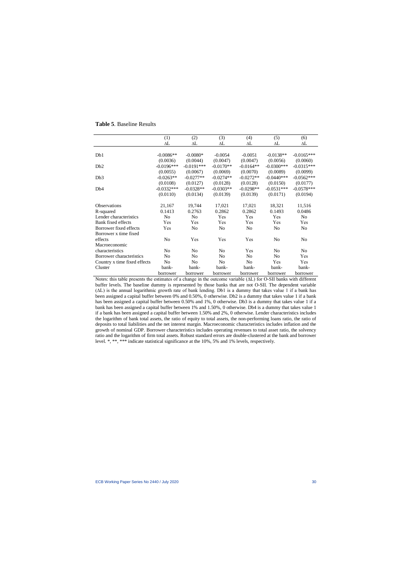|                              | (1)            | (2)            | (3)            | (4)            | (5)            | (6)            |
|------------------------------|----------------|----------------|----------------|----------------|----------------|----------------|
|                              | ΔL             | ΔL             | $\Delta L$     | ΔL             | ΔL             | ΔL             |
|                              |                |                |                |                |                |                |
| D <sub>b</sub> 1             | $-0.0086**$    | $-0.0080*$     | $-0.0054$      | $-0.0051$      | $-0.0138**$    | $-0.0165***$   |
|                              | (0.0036)       | (0.0044)       | (0.0047)       | (0.0047)       | (0.0056)       | (0.0060)       |
| Db2                          | $-0.0196***$   | $-0.0191***$   | $-0.0170**$    | $-0.0164**$    | $-0.0300$ ***  | $-0.0315***$   |
|                              | (0.0055)       | (0.0067)       | (0.0069)       | (0.0070)       | (0.0089)       | (0.0099)       |
| Db3                          | $-0.0263**$    | $-0.0277**$    | $-0.0274**$    | $-0.0272**$    | $-0.0440***$   | $-0.0562***$   |
|                              | (0.0108)       | (0.0127)       | (0.0128)       | (0.0128)       | (0.0150)       | (0.0177)       |
| D <sub>b</sub> 4             | $-0.0332***$   | $-0.0328**$    | $-0.0303**$    | $-0.0298**$    | $-0.0531***$   | $-0.0578***$   |
|                              | (0.0110)       | (0.0134)       | (0.0139)       | (0.0139)       | (0.0171)       | (0.0194)       |
|                              |                |                |                |                |                |                |
| <b>Observations</b>          | 21,167         | 19,744         | 17,021         | 17,021         | 18,321         | 11,516         |
| R-squared                    | 0.1413         | 0.2763         | 0.2862         | 0.2862         | 0.1493         | 0.0486         |
| Lender characteristics       | N <sub>o</sub> | No             | Yes            | Yes            | Yes            | N <sub>o</sub> |
| Bank fixed effects           | Yes            | Yes            | Yes            | Yes            | Yes            | Yes            |
| Borrower fixed effects       | Yes            | N <sub>o</sub> | N <sub>o</sub> | N <sub>0</sub> | N <sub>o</sub> | No.            |
| Borrower x time fixed        |                |                |                |                |                |                |
| effects                      | N <sub>o</sub> | Yes            | Yes            | Yes            | N <sub>o</sub> | N <sub>o</sub> |
| Macroeconomic                |                |                |                |                |                |                |
| characteristics              | No             | No             | No             | Yes            | No             | N <sub>o</sub> |
| Borrower characteristics     | No             | No             | No             | N <sub>0</sub> | N <sub>0</sub> | Yes            |
| Country x time fixed effects | No             | No             | N <sub>o</sub> | N <sub>0</sub> | Yes            | Yes            |
| Cluster                      | bank-          | bank-          | bank-          | bank-          | bank-          | bank-          |
|                              | borrower       | borrower       | borrower       | borrower       | borrower       | borrower       |

### **Table 5**. Baseline Results

Notes: this table presents the estimates of a change in the outcome variable (∆L) for O-SII banks with different buffer levels. The baseline dummy is represented by those banks that are not O-SII. The dependent variable (∆L) is the annual logarithmic growth rate of bank lending. Db1 is a dummy that takes value 1 if a bank has been assigned a capital buffer between 0% and 0.50%, 0 otherwise. Db2 is a dummy that takes value 1 if a bank has been assigned a capital buffer between 0.50% and 1%, 0 otherwise. Db3 is a dummy that takes value 1 if a bank has been assigned a capital buffer between 1% and 1.50%, 0 otherwise. Db4 is a dummy that takes value 1 if a bank has been assigned a capital buffer between 1.50% and 2%, 0 otherwise. Lender characteristics includes the logarithm of bank total assets, the ratio of equity to total assets, the non-performing loans ratio, the ratio of deposits to total liabilities and the net interest margin. Macroeconomic characteristics includes inflation and the growth of nominal GDP. Borrower characteristics includes operating revenues to total asset ratio, the solvency ratio and the logarithm of firm total assets. Robust standard errors are double-clustered at the bank and borrower level. \*, \*\*, \*\*\* indicate statistical significance at the 10%, 5% and 1% levels, respectively.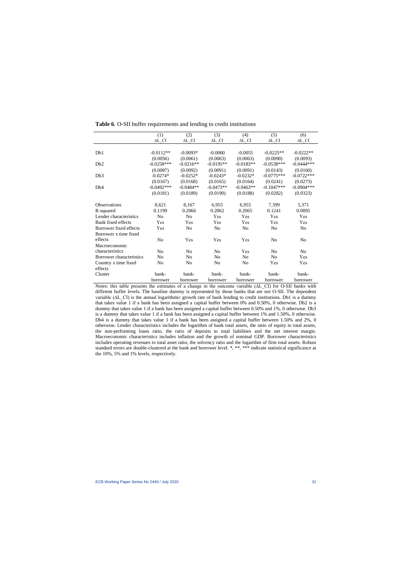|                          | (1)                        | (2)                      | (3)                        | (4)                        | (5)                        | (6)                        |
|--------------------------|----------------------------|--------------------------|----------------------------|----------------------------|----------------------------|----------------------------|
|                          | $\Delta L$ <sub>_</sub> CI | $\Delta L$ <sub>CI</sub> | $\Delta L$ <sub>_</sub> CI | $\Delta L$ <sub>_</sub> CI | $\Delta L$ <sub>_</sub> CI | $\Delta L$ <sub>_</sub> CI |
|                          |                            |                          |                            |                            |                            |                            |
| D <sub>b</sub> 1         | $-0.0112**$                | $-0.0093*$               | $-0.0060$                  | $-0.0055$                  | $-0.0225**$                | $-0.0222**$                |
|                          | (0.0056)                   | (0.0061)                 | (0.0063)                   | (0.0063)                   | (0.0090)                   | (0.0093)                   |
| Db2                      | $-0.0258***$               | $-0.0216**$              | $-0.0195**$                | $-0.0183**$                | $-0.0538***$               | $-0.0444***$               |
|                          | (0.0087)                   | (0.0092)                 | (0.0091)                   | (0.0091)                   | (0.0143)                   | (0.0160)                   |
| Db3                      | $-0.0274*$                 | $-0.0252*$               | $-0.0243*$                 | $-0.0232*$                 | $-0.0775***$               | $-0.0722***$               |
|                          | (0.0167)                   | (0.0168)                 | (0.0165)                   | (0.0164)                   | (0.0241)                   | (0.0273)                   |
| D <sub>b</sub> 4         | $-0.0492***$               | $-0.0484**$              | $-0.0473**$                | $-0.0463**$                | $-0.1047***$               | $-0.0904***$               |
|                          | (0.0181)                   | (0.0189)                 | (0.0190)                   | (0.0188)                   | (0.0282)                   | (0.0323)                   |
| <b>Observations</b>      | 8,621                      | 8,167                    | 6,955                      | 6,955                      | 7,399                      | 5,371                      |
| R-squared                | 0.1199                     | 0.2066                   | 0.2062                     | 0.2065                     | 0.1241                     | 0.0895                     |
| Lender characteristics   | No                         | No                       | Yes                        | Yes                        | Yes                        | Yes                        |
| Bank fixed effects       | Yes                        | Yes                      | Yes                        | Yes                        | Yes                        | Yes                        |
| Borrower fixed effects   | Yes                        | N <sub>o</sub>           | No                         | No                         | N <sub>o</sub>             | N <sub>o</sub>             |
| Borrower x time fixed    |                            |                          |                            |                            |                            |                            |
| effects                  | No                         | Yes                      | Yes                        | Yes                        | No                         | No.                        |
| Macroeconomic            |                            |                          |                            |                            |                            |                            |
| characteristics          | N <sub>0</sub>             | N <sub>o</sub>           | N <sub>0</sub>             | Yes                        | N <sub>o</sub>             | No.                        |
| Borrower characteristics | No                         | No                       | N <sub>0</sub>             | N <sub>0</sub>             | No                         | Yes                        |
| Country x time fixed     | No                         | No                       | No                         | No                         | Yes                        | Yes                        |
| effects                  |                            |                          |                            |                            |                            |                            |
| Cluster                  | bank-                      | bank-                    | bank-                      | bank-                      | bank-                      | bank-                      |
|                          | borrower                   | borrower                 | borrower                   | borrower                   | borrower                   | borrower                   |

**Table 6**. O-SII buffer requirements and lending to credit institutions

Notes: this table presents the estimates of a change in the outcome variable (ΔL CI) for O-SII banks with different buffer levels. The baseline dummy is represented by those banks that are not O-SII. The dependent variable (∆L\_CI) is the annual logarithmic growth rate of bank lending to credit institutions. Db1 is a dummy that takes value 1 if a bank has been assigned a capital buffer between 0% and 0.50%, 0 otherwise. Db2 is a dummy that takes value 1 if a bank has been assigned a capital buffer between 0.50% and 1%, 0 otherwise. Db3 is a dummy that takes value 1 if a bank has been assigned a capital buffer between 1% and 1.50%, 0 otherwise. Db4 is a dummy that takes value 1 if a bank has been assigned a capital buffer between 1.50% and 2%, 0 otherwise. Lender characteristics includes the logarithm of bank total assets, the ratio of equity to total assets, the non-performing loans ratio, the ratio of deposits to total liabilities and the net interest margin. Macroeconomic characteristics includes inflation and the growth of nominal GDP. Borrower characteristics includes operating revenues to total asset ratio, the solvency ratio and the logarithm of firm total assets. Robust standard errors are double-clustered at the bank and borrower level. \*, \*\*, \*\*\* indicate statistical significance at the 10%, 5% and 1% levels, respectively.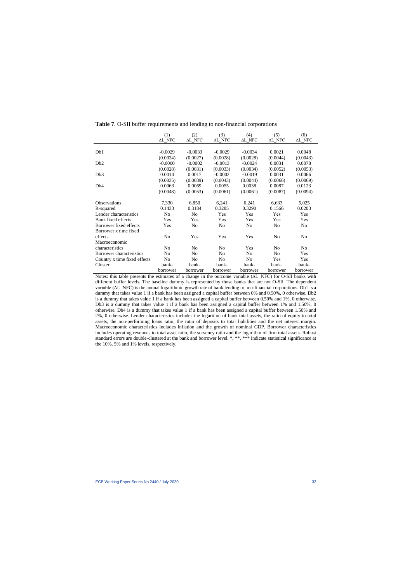|                              | (1)             | (2)             | (3)             | (4)             | (5)             | (6)             |
|------------------------------|-----------------|-----------------|-----------------|-----------------|-----------------|-----------------|
|                              | $\Delta L\_NFC$ | $\Delta L\_NFC$ | $\Delta L\_NFC$ | $\Delta L\_NFC$ | $\Delta L\_NFC$ | $\Delta L\_NFC$ |
|                              |                 |                 |                 |                 |                 |                 |
| Db1                          | $-0.0029$       | $-0.0033$       | $-0.0029$       | $-0.0034$       | 0.0021          | 0.0048          |
|                              | (0.0024)        | (0.0027)        | (0.0028)        | (0.0028)        | (0.0044)        | (0.0043)        |
| D <sub>b</sub> 2             | $-0.0000$       | $-0.0002$       | $-0.0013$       | $-0.0024$       | 0.0031          | 0.0078          |
|                              | (0.0028)        | (0.0031)        | (0.0033)        | (0.0034)        | (0.0052)        | (0.0053)        |
| Db <sub>3</sub>              | 0.0014          | 0.0017          | $-0.0002$       | $-0.0019$       | 0.0031          | 0.0066          |
|                              | (0.0035)        | (0.0039)        | (0.0043)        | (0.0044)        | (0.0066)        | (0.0069)        |
| Db <sub>4</sub>              | 0.0063          | 0.0069          | 0.0055          | 0.0038          | 0.0087          | 0.0123          |
|                              | (0.0048)        | (0.0053)        | (0.0061)        | (0.0061)        | (0.0087)        | (0.0094)        |
|                              |                 |                 |                 |                 |                 |                 |
| <b>Observations</b>          | 7,330           | 6,850           | 6,241           | 6,241           | 6,633           | 5,025           |
| R-squared                    | 0.1433          | 0.3184          | 0.3285          | 0.3290          | 0.1566          | 0.0203          |
| Lender characteristics       | N <sub>o</sub>  | N <sub>o</sub>  | Yes             | Yes             | Yes             | Yes             |
| Bank fixed effects           | Yes             | Yes             | Yes             | Yes             | Yes             | Yes             |
| Borrower fixed effects       | Yes             | No              | No              | No              | No              | No.             |
| Borrower x time fixed        |                 |                 |                 |                 |                 |                 |
| effects                      | N <sub>o</sub>  | Yes             | Yes             | Yes             | N <sub>o</sub>  | No              |
| Macroeconomic                |                 |                 |                 |                 |                 |                 |
| characteristics              | N <sub>0</sub>  | No.             | N <sub>0</sub>  | Yes             | N <sub>0</sub>  | N <sub>o</sub>  |
| Borrower characteristics     | N <sub>0</sub>  | No              | N <sub>0</sub>  | N <sub>0</sub>  | N <sub>0</sub>  | Yes             |
| Country x time fixed effects | No              | No              | No              | No              | Yes             | Yes             |
| Cluster                      | bank-           | bank-           | bank-           | bank-           | bank-           | bank-           |
|                              | borrower        | borrower        | borrower        | borrower        | borrower        | borrower        |

**Table 7**. O-SII buffer requirements and lending to non-financial corporations

Notes: this table presents the estimates of a change in the outcome variable (ΔL\_NFC) for O-SII banks with different buffer levels. The baseline dummy is represented by those banks that are not O-SII. The dependent variable (∆L\_NFC) is the annual logarithmic growth rate of bank lending to non-financial corporations. Db1 is a dummy that takes value 1 if a bank has been assigned a capital buffer between 0% and 0.50%, 0 otherwise. Db2 is a dummy that takes value 1 if a bank has been assigned a capital buffer between 0.50% and 1%, 0 otherwise. Db3 is a dummy that takes value 1 if a bank has been assigned a capital buffer between 1% and 1.50%, 0 otherwise. Db4 is a dummy that takes value 1 if a bank has been assigned a capital buffer between 1.50% and 2%, 0 otherwise. Lender characteristics includes the logarithm of bank total assets, the ratio of equity to total assets, the non-performing loans ratio, the ratio of deposits to total liabilities and the net interest margin. Macroeconomic characteristics includes inflation and the growth of nominal GDP. Borrower characteristics includes operating revenues to total asset ratio, the solvency ratio and the logarithm of firm total assets. Robust standard errors are double-clustered at the bank and borrower level. \*, \*\*, \*\*\* indicate statistical significance at the 10%, 5% and 1% levels, respectively.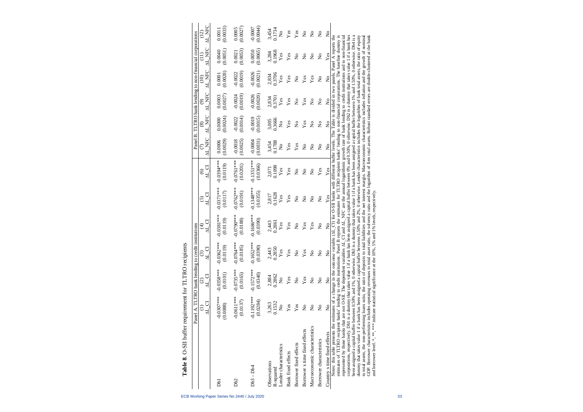|                                                                                                                                                                                                                                                                                                                                                                                                                                                                                                                                                                                                                                                                                                                                                                                                                                                                                                                              | Panel A. TLTRO bank lending to credit institutions |                                |                                    |                                 |                                                                                                                                                                                                                                                                                                                                                                                                                                                                                         |                                                          |                               |                           |                           |                           | Panel B. TLTRO bank lending to non-financial corporations |                                |
|------------------------------------------------------------------------------------------------------------------------------------------------------------------------------------------------------------------------------------------------------------------------------------------------------------------------------------------------------------------------------------------------------------------------------------------------------------------------------------------------------------------------------------------------------------------------------------------------------------------------------------------------------------------------------------------------------------------------------------------------------------------------------------------------------------------------------------------------------------------------------------------------------------------------------|----------------------------------------------------|--------------------------------|------------------------------------|---------------------------------|-----------------------------------------------------------------------------------------------------------------------------------------------------------------------------------------------------------------------------------------------------------------------------------------------------------------------------------------------------------------------------------------------------------------------------------------------------------------------------------------|----------------------------------------------------------|-------------------------------|---------------------------|---------------------------|---------------------------|-----------------------------------------------------------|--------------------------------|
|                                                                                                                                                                                                                                                                                                                                                                                                                                                                                                                                                                                                                                                                                                                                                                                                                                                                                                                              | <b>NL</b> CI                                       | <b>AL CI</b><br>$\widehat{c}$  | N<br>Al<br>$\widehat{\mathcal{C}}$ | <b>NL</b> CI<br>$\widehat{\pm}$ | $\sum_{\text{C}}$                                                                                                                                                                                                                                                                                                                                                                                                                                                                       | $\begin{array}{c} \text{(6)}\\ \text{AL CI} \end{array}$ | AL NFC<br>$\widehat{\subset}$ | AL NFC<br>$\circledast$   | AL NFC<br>ම               | AL NFC<br>(10)            | AL NFC                                                    | AL NFC<br>(12)                 |
|                                                                                                                                                                                                                                                                                                                                                                                                                                                                                                                                                                                                                                                                                                                                                                                                                                                                                                                              |                                                    |                                |                                    |                                 |                                                                                                                                                                                                                                                                                                                                                                                                                                                                                         |                                                          |                               |                           |                           |                           |                                                           |                                |
| Dbl                                                                                                                                                                                                                                                                                                                                                                                                                                                                                                                                                                                                                                                                                                                                                                                                                                                                                                                          | $-0.0307***$<br>(0.0088)                           | $-0.0358***$<br>(0.0101)       | $-0.0362***$<br>(0.0119)           | $-0.0381***$<br>(0.0119)        | $-0.0371***$<br>(0.0117)                                                                                                                                                                                                                                                                                                                                                                                                                                                                | $-0.0394***$<br>(0.0119)                                 | (0.0029)<br>0.0006            | (0.0024)<br>0.0000        | (0.0027)<br>0.0003        | (0.0028)<br>0.0001        | (0.0051)<br>0.0040                                        | (0.0033)<br>0.0011             |
| D <sub>b2</sub>                                                                                                                                                                                                                                                                                                                                                                                                                                                                                                                                                                                                                                                                                                                                                                                                                                                                                                              | $-0.0611***$<br>(0.0137)                           | $-0.0735***$<br>(0.0165)       | $-0.0764***$<br>(0.0185)           | $-0.0790***$<br>(0.0188)        | $-0.0762***$<br>(0.0191)                                                                                                                                                                                                                                                                                                                                                                                                                                                                | $-0.0761***$<br>(0.0201)                                 | (0.0025)<br>$-0.0018$         | (0.0014)<br>$-0.0022$     | (0.0019)<br>$-0.0024$     | (0.0019)<br>$-0.0022$     | (0.0053)<br>0.0021                                        | (0.0027)<br>0.0005             |
| $Db3 - Db4$                                                                                                                                                                                                                                                                                                                                                                                                                                                                                                                                                                                                                                                                                                                                                                                                                                                                                                                  | $-0.1192***$<br>(0.0284)                           | $-0.1572***$<br>(0.0340)       | $-0.1652***$<br>(0.0390)           | $-0.1686***$<br>(0.0390)        | $-0.1348***$<br>(0.0355)                                                                                                                                                                                                                                                                                                                                                                                                                                                                | $-0.1351***$<br>(0.0366)                                 | (0.0031)<br>$-0.0004$         | $-0.0019$<br>(0.0015)     | (0.0020)<br>$-0.0026$     | (0.0021)<br>$-0.0026$     | (0.0065)<br>0.0050                                        | (0.0044)<br>$-0.0007$          |
| Observations                                                                                                                                                                                                                                                                                                                                                                                                                                                                                                                                                                                                                                                                                                                                                                                                                                                                                                                 | 3,263                                              | 2,884                          | 2,443                              | 2,443                           | 2,817                                                                                                                                                                                                                                                                                                                                                                                                                                                                                   | 2,071<br>0.1098                                          | 3,454<br>0.1788               | 3,005                     | 2,834<br>0.3701           | 2,834                     | 3,284                                                     | 3,454<br>0.1734                |
| Lender characteristics<br>R-squared                                                                                                                                                                                                                                                                                                                                                                                                                                                                                                                                                                                                                                                                                                                                                                                                                                                                                          | 0.1532<br>$\mathsf{S}^{\circ}$                     | 0.2862<br>$\mathsf{S}^{\circ}$ | 0.2850<br>Yes                      | 0.2861<br>Yes                   | 0.1628<br>Yes                                                                                                                                                                                                                                                                                                                                                                                                                                                                           | Yes                                                      | $\frac{1}{2}$                 | 0.3666<br>$\frac{1}{2}$   | Yes                       | 0.3706<br>Yes             | 0.1968<br>Yes                                             | $\mathsf{\hat{z}}$             |
| <b>Bank</b> fixed effects                                                                                                                                                                                                                                                                                                                                                                                                                                                                                                                                                                                                                                                                                                                                                                                                                                                                                                    | Yes                                                | Yes                            | Yes                                | Yes                             | Yes                                                                                                                                                                                                                                                                                                                                                                                                                                                                                     | Yes                                                      | Yes                           | Yes                       | Yes                       | Yes                       | Yes                                                       | Yes                            |
| Borrower fixed effects                                                                                                                                                                                                                                                                                                                                                                                                                                                                                                                                                                                                                                                                                                                                                                                                                                                                                                       | Yes                                                | $\frac{1}{2}$                  | $\mathsf{S}^{\mathsf{O}}$          | $\overline{\mathsf{z}}$         | $\mathsf{S}^{\mathsf{o}}$                                                                                                                                                                                                                                                                                                                                                                                                                                                               | $\mathsf{S}^{\mathsf{o}}$                                | Yes                           | $\mathsf{S}^{\mathsf{o}}$ | $\mathsf{S}^{\mathsf{O}}$ | $\mathsf{S}^{\mathsf{O}}$ | $\mathsf{S}^{\mathsf{O}}$                                 | $Y$ es                         |
| Borrower x time fixed effects                                                                                                                                                                                                                                                                                                                                                                                                                                                                                                                                                                                                                                                                                                                                                                                                                                                                                                | $\mathsf{S}^{\mathsf{O}}$                          | Yes                            | $\mathbf{Yes}$                     | $\mathbf{Yes}$                  | $\stackrel{\mathtt{o}}{\mathsf{z}}$                                                                                                                                                                                                                                                                                                                                                                                                                                                     | $\mathsf{S}^{\mathsf{o}}$                                | $\tilde{z}$                   | $\mathbf{Yes}$            | Yes                       | $\mathbf{Yes}$            | $\stackrel{\mathtt{o}}{\mathsf{z}}$                       | $\stackrel{\circ}{\mathbf{Z}}$ |
| Macroeconomic characteristics                                                                                                                                                                                                                                                                                                                                                                                                                                                                                                                                                                                                                                                                                                                                                                                                                                                                                                | $\frac{1}{2}$                                      | $\mathsf{S}^{\mathsf{O}}$      | $\mathsf{\overset{o}{\mathsf{z}}}$ | Yes                             | $\mathsf{S}^{\mathsf{o}}$                                                                                                                                                                                                                                                                                                                                                                                                                                                               | $\mathsf{S}^{\mathsf{O}}$                                | $\frac{1}{2}$                 | $\mathsf{S}^{\mathsf{o}}$ | $\mathsf{S}^{\mathsf{O}}$ | Yes                       | $\mathsf{S}^{\mathsf{o}}$                                 | $\mathsf{S}^{\mathsf{O}}$      |
| Borrower characteristics                                                                                                                                                                                                                                                                                                                                                                                                                                                                                                                                                                                                                                                                                                                                                                                                                                                                                                     | $\frac{1}{2}$                                      | $\mathsf{S}^{\mathsf{O}}$      | $\mathsf{S}^{\mathsf{O}}$          | $\mathsf{S}^{\mathsf{o}}$       | $\mathsf{S}^{\mathsf{O}}$                                                                                                                                                                                                                                                                                                                                                                                                                                                               | Yes                                                      | $\mathsf{S}^{\mathsf{O}}$     | $\mathsf{S}^{\mathsf{o}}$ | $\mathsf{S}^{\mathsf{O}}$ | $\mathsf{S}^{\mathsf{O}}$ | $\mathsf{S}^{\mathsf{O}}$                                 | $\mathsf{S}^{\mathsf{O}}$      |
| Country x time fixed effects                                                                                                                                                                                                                                                                                                                                                                                                                                                                                                                                                                                                                                                                                                                                                                                                                                                                                                 | $\frac{1}{2}$                                      | $\overline{a}$                 | $\frac{1}{2}$                      | $\overline{a}$                  | Yes                                                                                                                                                                                                                                                                                                                                                                                                                                                                                     | Yes                                                      | $\frac{1}{2}$                 | $\frac{1}{2}$             | $\overline{a}$            | $\frac{1}{2}$             | Yes                                                       | $\overline{a}$                 |
| corporations, respectively. Db1 is a dummy that takes value 1 if a bank has been assigned a capital buffer between 0% and 0.50%, 0 otherwise. Db2 is a dummy that takes value 1 if a bank has<br>dummy that takes value 1 if a bank has been assigned a capital buffer between 1.50% and 2%, 0 otherwise. Lender characteristics includes the logarithm of bank total assets, the ratio of equity<br>Notes: this table presents the estimates of a change in the outcome variable (AL CI) for O-SII banks with different buffer levels. The Table is divided in two panels. Panel A reports the<br>represented by those banks that are not O-SII. The dependent variables AL<br>been assigned a capital buffer between 0.50% and 1%, 0 otherwise. Db3 is a<br>estimates of TLTRO recipient banks' lending to credit institutions. Panel I<br>to total assets, the non-performing loans ratio, the ratio of deposits to total |                                                    |                                |                                    |                                 | dummy that takes value 1 if a bank has been assigned a capital buffer between 1% and 1.50%, 0 otherwise. Db4 is a<br>B reports the estimates for TLTRO recipient banks' lending to non-financial corporations. The baseline dummy is<br>liabilities and the net interest margin. Macroeconomic characteristics includes inflation and the growth of nominal<br>CI and $\Delta L$ NFC are the annual logarithmic growth rate of bank lending to credit institutions and to non-financial |                                                          |                               |                           |                           |                           |                                                           |                                |

to total assets, the non-performing loans ratio, the ratio of deposits to total liabilities and the net interest margin. Macroeconomic characteristics includes inflation and the growth of nominal GDP. Borrower characteristics includes operating revenues to total asset ratio, the solvency ratio and the logarithm of firm total assets. Robust standard errors are double-clustered at the bank

GDP. Borrower characteristics includes operating revenues to total asset ratio, the solvency ratio and the logarithm of firm total assets. Robust standard errors are double-clustered at the bank and borrower level. \*.\*\* \*\*

and borrower level. \*, \*\*, \*\*\* indicate statistical significance at the 10%, 5% and 1% levels, respectively.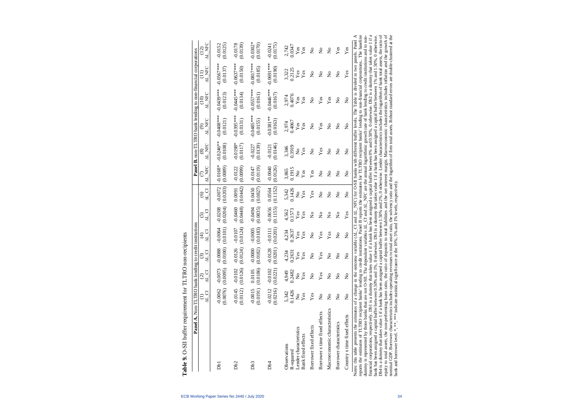| Panel A. Non-TLTRO bank lending to credit institutions                                                                                                                                                                                                                                                                                                                                                                                                                                                                                      |                                                |                                                |                                             |                                          |                               |                                              |                                         |                                         | Panel B. non-TLTRO bank lending to non-financial corporations                                                                                                                                                                                                      |                                                  |                               |                               |
|---------------------------------------------------------------------------------------------------------------------------------------------------------------------------------------------------------------------------------------------------------------------------------------------------------------------------------------------------------------------------------------------------------------------------------------------------------------------------------------------------------------------------------------------|------------------------------------------------|------------------------------------------------|---------------------------------------------|------------------------------------------|-------------------------------|----------------------------------------------|-----------------------------------------|-----------------------------------------|--------------------------------------------------------------------------------------------------------------------------------------------------------------------------------------------------------------------------------------------------------------------|--------------------------------------------------|-------------------------------|-------------------------------|
|                                                                                                                                                                                                                                                                                                                                                                                                                                                                                                                                             | <b>N</b> CI                                    | N CI<br>$\odot$                                | $\Delta L_{\_}CI$<br>$\widehat{\odot}$      | N<br>Al<br>$\widehat{\mathfrak{t}}$      | 디<br>시<br><u>ර</u>            | <b>NL</b> CI<br>$\widehat{\circ}$            | AL NFC<br>E                             | AL NFC<br>$\circledast$                 | AL NFC<br>$\widehat{\odot}$                                                                                                                                                                                                                                        | AL NFC<br>$\widehat{\Xi}$                        | AL NFC<br>$\widehat{\Xi}$     | AL NFC<br>(12)                |
| DЫ                                                                                                                                                                                                                                                                                                                                                                                                                                                                                                                                          | $-0.0062$                                      | $(0.0076)$ $(0.0095)$ $(0.0100)$<br>$-0.0073$  | $-0.0088$                                   | (0.0101)<br>$-0.0064$                    | (0.0204)<br>$-0.0208$         | (0.0203)<br>$-0.0072$                        | $-0.0168*$<br>(0.0089)                  | $-0.0246**$<br>(0.0108)                 | $-0.0408***$<br>(0.0121)                                                                                                                                                                                                                                           | $-0.0439***$<br>(0.0123)                         | $-0.0567***$<br>(0.0137)      | (0.0125)<br>$-0.0152$         |
| Db <sub>2</sub>                                                                                                                                                                                                                                                                                                                                                                                                                                                                                                                             | $-0.0145$                                      | $(0.0112)$ $(0.0126)$ $(0.0124)$<br>$-0.0102$  | $-0.0126$                                   | (0.0124)<br>$-0.0107$                    | (0.0448)<br>$-0.0460$         | (0.0442)<br>0.0091                           | (0.0099)<br>$-0.0122$                   | $-0.0198*$<br>(0.0117)                  | $-0.0395***$<br>(0.0131)                                                                                                                                                                                                                                           | $-0.0445***$<br>(0.0134)                         | $-0.0637***$<br>(0.0150)      | (0.0139)<br>$-0.0178$         |
| Db <sub>3</sub>                                                                                                                                                                                                                                                                                                                                                                                                                                                                                                                             | $-0.0015$                                      | $(0.0191)$ $(0.0186)$<br>0.0105                | (0.0182)<br>$-0.0000$                       | (0.0183)<br>$-0.0005$                    | (0.0835)<br>$-0.0494$         | (0.0827)<br>0.0450                           | (0.0119)<br>$-0.0147$                   | (0.0139)<br>$-0.0227$                   | $-0.0485***$<br>(0.0155)                                                                                                                                                                                                                                           | $-0.0557***$<br>(0.0161)                         | $-0.0817***$<br>(0.0185)      | $-0.0302*$<br>(0.0170)        |
| Db <sub>4</sub>                                                                                                                                                                                                                                                                                                                                                                                                                                                                                                                             | $-0.0212$                                      | $(0.0216)$ $(0.0221)$ $(0.0201)$<br>$-0.0102$  | $-0.0128$                                   | (0.0201)<br>$-0.0111$                    | (0.1155)<br>$-0.0656$         | (0.1152)<br>0.0564                           | (0.0126)<br>$-0.0040$                   | (0.0146)<br>$-0.0121$                   | $-0.0381**$<br>(0.0163)                                                                                                                                                                                                                                            | $-0.0446***$<br>(0.0167)                         | $-0.0691***$<br>(0.0190)      | (0.0175)<br>$-0.0241$         |
| Lender characteristics<br>Bank fixed effects<br>Observations<br>R-squared                                                                                                                                                                                                                                                                                                                                                                                                                                                                   | 0.1426<br>5,342<br>Yes<br>$\mathsf{z}^{\circ}$ | 0.2482<br>4,949<br>Yes<br>$\mathsf{z}^{\circ}$ | 0.2631<br>4,234<br>$\mathbf{Yes}$<br>$Y$ es | 0.2637<br>4,234<br>Yes<br>$\mathbf{Yes}$ | 0.1573<br>4,562<br>Yes<br>Yes | 5,342<br>0.1426<br>Yes<br>$\mathsf{\hat{z}}$ | 0.1915<br>3,865<br>$\frac{1}{2}$<br>Yes | 3,346<br>0.3919<br>Yes<br>$\frac{1}{2}$ | 0.4067<br>2,974<br>Yes<br>Yes                                                                                                                                                                                                                                      | 0.4076<br>2,974<br>${\bf Yes}$<br>$\mathbf{Yes}$ | 0.2125<br>3,322<br>Yes<br>Yes | 0.0347<br>2,742<br>Yes<br>Yes |
| Borrower fixed effects                                                                                                                                                                                                                                                                                                                                                                                                                                                                                                                      | Yes                                            | $\mathsf{S}^{\mathsf{O}}$                      | $\mathsf{S}^{\mathsf{O}}$                   | $\frac{1}{2}$                            | $\frac{1}{2}$                 | Yes                                          | Yes                                     | $\mathsf{S}^{\mathsf{o}}$               | $\mathsf{S}^{\mathsf{O}}$                                                                                                                                                                                                                                          | $\mathsf{S}^{\mathsf{o}}$                        | $\mathsf{S}^{\mathsf{O}}$     | $\mathsf{S}^{\mathsf{O}}$     |
| Borrower x time fixed effects                                                                                                                                                                                                                                                                                                                                                                                                                                                                                                               | $\tilde{z}$                                    | Yes                                            | Yes                                         | Yes                                      | $\mathsf{S}^{\mathsf{o}}$     | $\mathsf{S}^{\mathsf{o}}$                    | $\frac{1}{2}$                           | Yes                                     | Yes                                                                                                                                                                                                                                                                | Yes                                              | $\mathsf{S}^{\mathsf{o}}$     | $\mathsf{S}^{\mathsf{o}}$     |
| Macroeconomic characteristics                                                                                                                                                                                                                                                                                                                                                                                                                                                                                                               | $\frac{1}{2}$                                  | $\frac{1}{2}$                                  | ż                                           | Yes                                      | $\frac{1}{2}$                 | $\frac{1}{2}$                                | $\frac{1}{2}$                           | $\mathsf{S}^{\mathsf{o}}$               | $\mathsf{S}^{\mathsf{o}}$                                                                                                                                                                                                                                          | Yes                                              | $\mathsf{S}^{\mathsf{o}}$     | $\mathsf{\hat{z}}$            |
| Borrower characteristics                                                                                                                                                                                                                                                                                                                                                                                                                                                                                                                    | $\tilde{z}$                                    | $\frac{1}{2}$                                  | ž                                           | $\frac{1}{2}$                            | $\frac{1}{2}$                 | $\mathsf{S}^{\mathsf{o}}$                    | $\tilde{\mathsf{z}}$                    | $\mathsf{S}^{\mathsf{o}}$               | $\tilde{z}$                                                                                                                                                                                                                                                        | $\frac{1}{2}$                                    | $\mathsf{S}^{\mathsf{O}}$     | Yes                           |
| Country x time fixed effects                                                                                                                                                                                                                                                                                                                                                                                                                                                                                                                | $\mathsf{S}^{\mathsf{O}}$                      | $\frac{1}{2}$                                  | ž                                           | $\frac{1}{2}$                            | Yes                           | $\frac{1}{2}$                                | $\frac{1}{2}$                           | $\mathsf{S}^{\mathsf{o}}$               | $\mathsf{S}^{\mathsf{o}}$                                                                                                                                                                                                                                          | $\mathsf{S}^{\mathsf{O}}$                        | Yes                           | Yes                           |
| reports the estimates of TLTRO recipient banks' lending to credit institutions. Panel B reports the estimates for TLTRO recipient banks' lending to non-financial corporations. The baseline<br>financial corporations, respectively. Db1 is a dummy that takes value 1 if a bank has been assigned a capital buffer between 0% and 0.50%, 0 otherwise. Db2 is a dummy that takes value 1 if a<br>dummy is represented by those banks that are not O-SII. The depend<br>Notes: this table presents the estimates of a change in the outcome |                                                |                                                |                                             |                                          |                               |                                              |                                         |                                         | variable (AL CI and AL NFC) for O-SII banks with different buffer levels. The Table is divided in two panels. Panel A<br>lent variables $\Delta L$ CI and $\Delta L$ NFC are the annual logarithmic growth rate of bank lending to credit institutions and to non- |                                                  |                               |                               |
| bank has been assigned a capital buffer between 0.50% and 1%, 0 otherwise. Db3 is a dummy that takes value 1 if a bank has been assigned a capital buffer between 1% and 1.50%, 0 otherwise.                                                                                                                                                                                                                                                                                                                                                |                                                |                                                |                                             |                                          |                               |                                              |                                         |                                         |                                                                                                                                                                                                                                                                    |                                                  |                               |                               |

Table 9. O-SII buffer requirement for TLTRO non-recipients **Table 9.** O-SII buffer requirement for TLTRO non-recipients bank and borrower level. \*, \*\*, \*\*\* indicate statistical significance at the 10%, 5% and 1% levels, respectively.

bank and borrower level. \*, \*\*, \*\*\* indicate statistical significance at the 10%, 5% and 1% levels, respectively.

financial corporations, respectively. Db1 is a dummy that takes value 1 if a bank has been assigned a capital buffer between 0% and 0.50%, 0 otherwise. Db2 is a dummy that takes value 1 if a bank has been assigned a capital buffer between 0.50% and 1%, 0 otherwise. Db3 is a dummy that takes value 1 if a bank has been assigned a capital buffer between 1% and 1.50%, 0 otherwise. Db4 is a dummy that takes value 1 if a bank has been assigned a capital buffer between 1.50% and 2%, 0 otherwise. Lender characteristics includes the logarithm of bank total assets, the ratio of equity to total assets, the non-performing loans ratio, the ratio of deposits to total liabilities and the net interest margin. Macroeconomic characteristics includes inflation and the growth of nominal GDP. Borrower characteristics includes operating revenues to total asset ratio, the solvency ratio and the logarithm of firm total assets. Robust standard errors are double-clustered at the

Db4 is a dummy that takes value 1 if a bank has been assigned a capital buffer between 1.50% and 2%, 0 otherwise. Lender characteristics includes the logarithm of bank total assets, the ratio of equity to total assets, the non-performing Ioans ratio, the ratio of deposits to total liabilities and the net interest margin. Macroeconomic characteristics includes inflation and the growth of<br>nominal GDP. Borrower chara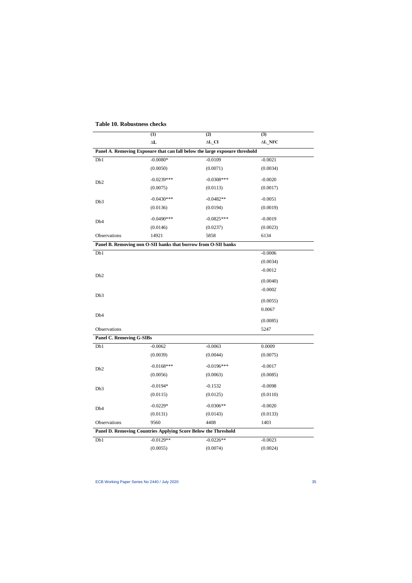|                                 | (1)                                                            | (2)                                                                         | (3)             |
|---------------------------------|----------------------------------------------------------------|-----------------------------------------------------------------------------|-----------------|
|                                 | $\Delta \mathbf{L}$                                            | $\Delta L$ <sub>CI</sub>                                                    | $\Delta L\_NFC$ |
|                                 |                                                                | Panel A. Removing Exposure that can fall below the large exposure threshold |                 |
| Db1                             | $-0.0080*$                                                     | $-0.0109$                                                                   | $-0.0021$       |
|                                 | (0.0050)                                                       | (0.0071)                                                                    | (0.0034)        |
| D <sub>b</sub> 2                | $-0.0239***$                                                   | $-0.0308***$                                                                | $-0.0020$       |
|                                 | (0.0075)                                                       | (0.0113)                                                                    | (0.0017)        |
| Db3                             | $-0.0430***$                                                   | $-0.0482**$                                                                 | $-0.0051$       |
|                                 | (0.0136)                                                       | (0.0194)                                                                    | (0.0019)        |
| Db <sub>4</sub>                 | $-0.0490***$                                                   | $-0.0825***$                                                                | $-0.0019$       |
|                                 | (0.0146)                                                       | (0.0237)                                                                    | (0.0023)        |
| Observations                    | 14921                                                          | 5858                                                                        | 6134            |
|                                 | Panel B. Removing non O-SII banks that borrow from O-SII banks |                                                                             |                 |
| Db1                             |                                                                |                                                                             | $-0.0006$       |
|                                 |                                                                |                                                                             | (0.0034)        |
|                                 |                                                                |                                                                             | $-0.0012$       |
| D <sub>b</sub> 2                |                                                                |                                                                             | (0.0040)        |
|                                 |                                                                |                                                                             | $-0.0002$       |
| Db <sub>3</sub>                 |                                                                |                                                                             |                 |
|                                 |                                                                |                                                                             | (0.0055)        |
| Db <sub>4</sub>                 |                                                                |                                                                             | 0.0067          |
|                                 |                                                                |                                                                             | (0.0085)        |
| Observations                    |                                                                |                                                                             | 5247            |
| <b>Panel C. Removing G-SIBs</b> |                                                                |                                                                             |                 |
| Db1                             | $-0.0062$                                                      | $-0.0063$                                                                   | 0.0009          |
|                                 | (0.0039)                                                       | (0.0044)                                                                    | (0.0075)        |
| D <sub>b</sub> 2                | $-0.0168$ ***                                                  | $-0.0196***$                                                                | $-0.0017$       |
|                                 | (0.0056)                                                       | (0.0063)                                                                    | (0.0085)        |
| Db3                             | $-0.0194*$                                                     | $-0.1532$                                                                   | $-0.0098$       |
|                                 | (0.0115)                                                       | (0.0125)                                                                    | (0.0110)        |
| Db <sub>4</sub>                 | $-0.0229*$                                                     | $-0.0306**$                                                                 | $-0.0020$       |
|                                 | (0.0131)                                                       | (0.0143)                                                                    | (0.0133)        |
| Observations                    | 9560                                                           | 4408                                                                        | 1403            |
|                                 | Panel D. Removing Countries Applying Score Below the Threshold |                                                                             |                 |
| Db1                             | $-0.0129**$                                                    | $-0.0226**$                                                                 | $-0.0023$       |
|                                 | (0.0055)                                                       | (0.0074)                                                                    | (0.0024)        |

## **Table 10. Robustness checks**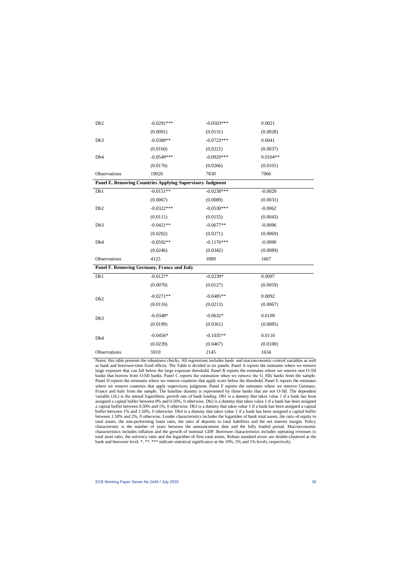| Db <sub>2</sub>                                                  | $-0.0291***$ | $-0.0503***$ | 0.0021     |
|------------------------------------------------------------------|--------------|--------------|------------|
|                                                                  | (0.0091)     | (0.0131)     | (0.0028)   |
| Db3                                                              | $-0.0380**$  | $-0.0723***$ | 0.0041     |
|                                                                  | (0.0160)     | (0.0221)     | (0.0037)   |
| Db <sub>4</sub>                                                  | $-0.0549***$ | $-0.0929***$ | $0.0104**$ |
|                                                                  | (0.0176)     | (0.0266)     | (0.0101)   |
| Observations                                                     | 19026        | 7830         | 7066       |
| <b>Panel E. Removing Countries Applying Supervisory Judgment</b> |              |              |            |
| Db1                                                              | $-0.0151**$  | $-0.0238***$ | $-0.0029$  |
|                                                                  | (0.0067)     | (0.0089)     | (0.0031)   |
| D <sub>b</sub> 2                                                 | $-0.0322***$ | $-0.0530***$ | $-0.0062$  |
|                                                                  | (0.0111)     | (0.0155)     | (0.0043)   |
| Db3                                                              | $-0.0421**$  | $-0.0677**$  | $-0.0096$  |
|                                                                  | (0.0202)     | (0.0271)     | (0.0069)   |
| Db <sub>4</sub>                                                  | $-0.0592**$  | $-0.1176***$ | $-0.0090$  |
|                                                                  | (0.0246)     | (0.0342)     | (0.0089)   |
| Observations                                                     | 4125         | 1889         | 1667       |
| Panel F. Removing Germany, France and Italy                      |              |              |            |
| Db1                                                              | $-0.0127*$   | $-0.0239*$   | 0.0097     |
|                                                                  | (0.0070)     | (0.0127)     | (0.0059)   |
| Db <sub>2</sub>                                                  | $-0.0271**$  | $-0.0485**$  | 0.0092     |
|                                                                  | (0.0116)     | (0.0213)     | (0.0067)   |
| Db3                                                              | $-0.0348*$   | $-0.0632*$   | 0.0109     |
|                                                                  | (0.0199)     | (0.0361)     | (0.0085)   |
| Db <sub>4</sub>                                                  | $-0.0456*$   | $-0.1035**$  | 0.0110     |
|                                                                  | (0.0239)     | (0.0467)     | (0.0100)   |
| Observations                                                     | 5910         | 2145         | 1634       |

Notes: this table presents the robustness checks. All regressions includes bank- and macroeconomic-control variables as well as bank and borrower-time fixed effects. The Table is divided in six panels. Panel A reports the estimates where we remove large exposure that can fall below the large exposure threshold. Panel B reports the estimates where we remove non O-SII banks that borrow from O-SII banks. Panel C reports the estimation when we remove the G\_SIIs banks from the sample. Panel D reports the estimates where we remove countries that apply score below the threshold. Panel E reports the estimates where we remove countries that apply supervisory judgment. Panel F reports the estimates where we remove Germany, France and Italy from the sample. The baseline dummy is represented by those banks that are not O-SII. The dependent variable  $(\Delta L)$  is the annual logarithmic growth rate of bank lending. Db1 is a dummy that takes value 1 if a bank has been assigned a capital buffer between 0% and 0.50%, 0 otherwise. Db2 is a dummy that takes value 1 if a bank has been assigned a capital buffer between 0.50% and 1%, 0 otherwise. Db3 is a dummy that takes value 1 if a bank has been assigned a capital buffer between 1% and 1.50%, 0 otherwise. Db4 is a dummy that takes value 1 if a bank has been assigned a capital buffer between 1.50% and 2%, 0 otherwise. Lender characteristics includes the logarithm of bank total assets, the ratio of equity to total assets, the non-performing loans ratio, the ratio of deposits to total liabilities and the net interest margin. Policy characteristic is the number of years between the announcement date and the fully loaded period. Macroeconomic characteristics includes inflation and the growth of nominal GDP. Borrower characteristics includes operating revenues to total asset ratio, the solvency ratio and the logarithm of firm total assets. Robust standard errors are double-clustered at the bank and borrower level. \*, \*\*, \*\*\* indicate statistical significance at the 10%, 5% and 1% levels, respectively.